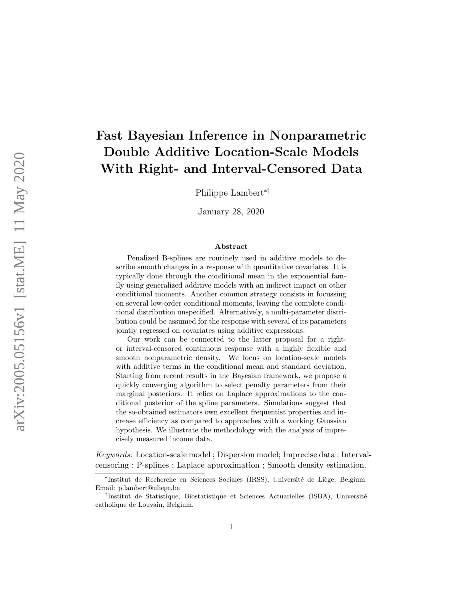# Fast Bayesian Inference in Nonparametric Double Additive Location-Scale Models With Right- and Interval-Censored Data

Philippe Lambert∗†

January 28, 2020

#### Abstract

Penalized B-splines are routinely used in additive models to describe smooth changes in a response with quantitative covariates. It is typically done through the conditional mean in the exponential family using generalized additive models with an indirect impact on other conditional moments. Another common strategy consists in focussing on several low-order conditional moments, leaving the complete conditional distribution unspecified. Alternatively, a multi-parameter distribution could be assumed for the response with several of its parameters jointly regressed on covariates using additive expressions.

Our work can be connected to the latter proposal for a rightor interval-censored continuous response with a highly flexible and smooth nonparametric density. We focus on location-scale models with additive terms in the conditional mean and standard deviation. Starting from recent results in the Bayesian framework, we propose a quickly converging algorithm to select penalty parameters from their marginal posteriors. It relies on Laplace approximations to the conditional posterior of the spline parameters. Simulations suggest that the so-obtained estimators own excellent frequentist properties and increase efficiency as compared to approaches with a working Gaussian hypothesis. We illustrate the methodology with the analysis of imprecisely measured income data.

Keywords: Location-scale model ; Dispersion model; Imprecise data ; Intervalcensoring ; P-splines ; Laplace approximation ; Smooth density estimation.

<sup>\*</sup>Institut de Recherche en Sciences Sociales (IRSS), Université de Liège, Belgium. Email: p.lambert@uliege.be

<sup>&</sup>lt;sup>†</sup>Institut de Statistique, Biostatistique et Sciences Actuarielles (ISBA), Université catholique de Louvain, Belgium.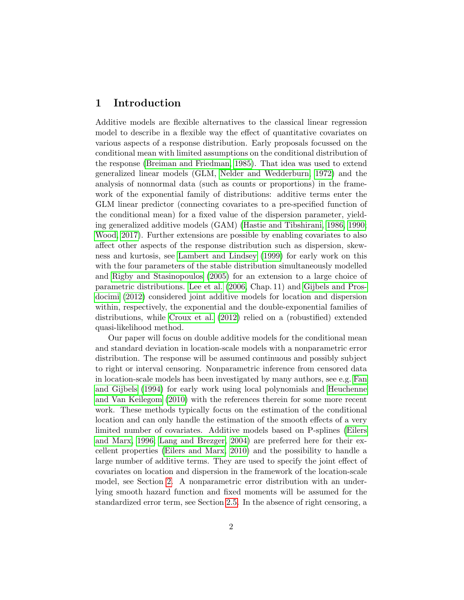### 1 Introduction

Additive models are flexible alternatives to the classical linear regression model to describe in a flexible way the effect of quantitative covariates on various aspects of a response distribution. Early proposals focussed on the conditional mean with limited assumptions on the conditional distribution of the response [\(Breiman and Friedman, 1985\)](#page-26-0). That idea was used to extend generalized linear models (GLM, [Nelder and Wedderburn, 1972\)](#page-28-0) and the analysis of nonnormal data (such as counts or proportions) in the framework of the exponential family of distributions: additive terms enter the GLM linear predictor (connecting covariates to a pre-specified function of the conditional mean) for a fixed value of the dispersion parameter, yielding generalized additive models (GAM) [\(Hastie and Tibshirani, 1986,](#page-27-0) [1990;](#page-27-1) [Wood, 2017\)](#page-28-1). Further extensions are possible by enabling covariates to also affect other aspects of the response distribution such as dispersion, skewness and kurtosis, see [Lambert and Lindsey](#page-27-2) [\(1999\)](#page-27-2) for early work on this with the four parameters of the stable distribution simultaneously modelled and [Rigby and Stasinopoulos](#page-28-2) [\(2005\)](#page-28-2) for an extension to a large choice of parametric distributions. [Lee et al.](#page-27-3) [\(2006,](#page-27-3) Chap. 11) and [Gijbels and Pros](#page-26-1)[docimi](#page-26-1) [\(2012\)](#page-26-1) considered joint additive models for location and dispersion within, respectively, the exponential and the double-exponential families of distributions, while [Croux et al.](#page-26-2) [\(2012\)](#page-26-2) relied on a (robustified) extended quasi-likelihood method.

Our paper will focus on double additive models for the conditional mean and standard deviation in location-scale models with a nonparametric error distribution. The response will be assumed continuous and possibly subject to right or interval censoring. Nonparametric inference from censored data in location-scale models has been investigated by many authors, see e.g. [Fan](#page-26-3) [and Gijbels](#page-26-3) [\(1994\)](#page-26-3) for early work using local polynomials and [Heuchenne](#page-27-4) [and Van Keilegom](#page-27-4) [\(2010\)](#page-27-4) with the references therein for some more recent work. These methods typically focus on the estimation of the conditional location and can only handle the estimation of the smooth effects of a very limited number of covariates. Additive models based on P-splines [\(Eilers](#page-26-4) [and Marx, 1996;](#page-26-4) [Lang and Brezger, 2004\)](#page-27-5) are preferred here for their excellent properties [\(Eilers and Marx, 2010\)](#page-26-5) and the possibility to handle a large number of additive terms. They are used to specify the joint effect of covariates on location and dispersion in the framework of the location-scale model, see Section [2.](#page-2-0) A nonparametric error distribution with an underlying smooth hazard function and fixed moments will be assumed for the standardized error term, see Section [2.5.](#page-9-0) In the absence of right censoring, a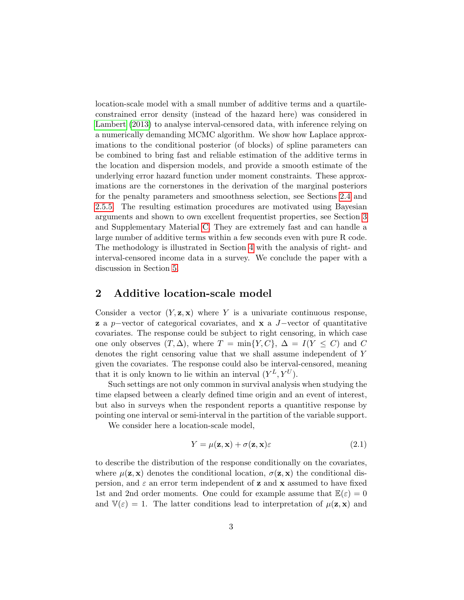location-scale model with a small number of additive terms and a quartileconstrained error density (instead of the hazard here) was considered in [Lambert](#page-27-6) [\(2013\)](#page-27-6) to analyse interval-censored data, with inference relying on a numerically demanding MCMC algorithm. We show how Laplace approximations to the conditional posterior (of blocks) of spline parameters can be combined to bring fast and reliable estimation of the additive terms in the location and dispersion models, and provide a smooth estimate of the underlying error hazard function under moment constraints. These approximations are the cornerstones in the derivation of the marginal posteriors for the penalty parameters and smoothness selection, see Sections [2.4](#page-7-0) and [2.5.5.](#page-12-0) The resulting estimation procedures are motivated using Bayesian arguments and shown to own excellent frequentist properties, see Section [3](#page-16-0) and Supplementary Material [C.](#page-24-0) They are extremely fast and can handle a large number of additive terms within a few seconds even with pure R code. The methodology is illustrated in Section [4](#page-17-0) with the analysis of right- and interval-censored income data in a survey. We conclude the paper with a discussion in Section [5.](#page-21-0)

### <span id="page-2-0"></span>2 Additive location-scale model

Consider a vector  $(Y, z, x)$  where Y is a univariate continuous response, **z** a p–vector of categorical covariates, and **x** a  $J$ –vector of quantitative covariates. The response could be subject to right censoring, in which case one only observes  $(T, \Delta)$ , where  $T = \min\{Y, C\}$ ,  $\Delta = I(Y \leq C)$  and C denotes the right censoring value that we shall assume independent of Y given the covariates. The response could also be interval-censored, meaning that it is only known to lie within an interval  $(Y^L, Y^U)$ .

Such settings are not only common in survival analysis when studying the time elapsed between a clearly defined time origin and an event of interest, but also in surveys when the respondent reports a quantitive response by pointing one interval or semi-interval in the partition of the variable support.

We consider here a location-scale model,

<span id="page-2-1"></span>
$$
Y = \mu(\mathbf{z}, \mathbf{x}) + \sigma(\mathbf{z}, \mathbf{x})\varepsilon \tag{2.1}
$$

to describe the distribution of the response conditionally on the covariates, where  $\mu(\mathbf{z}, \mathbf{x})$  denotes the conditional location,  $\sigma(\mathbf{z}, \mathbf{x})$  the conditional dispersion, and  $\varepsilon$  an error term independent of **z** and **x** assumed to have fixed 1st and 2nd order moments. One could for example assume that  $\mathbb{E}(\varepsilon)=0$ and  $V(\varepsilon) = 1$ . The latter conditions lead to interpretation of  $\mu(\mathbf{z}, \mathbf{x})$  and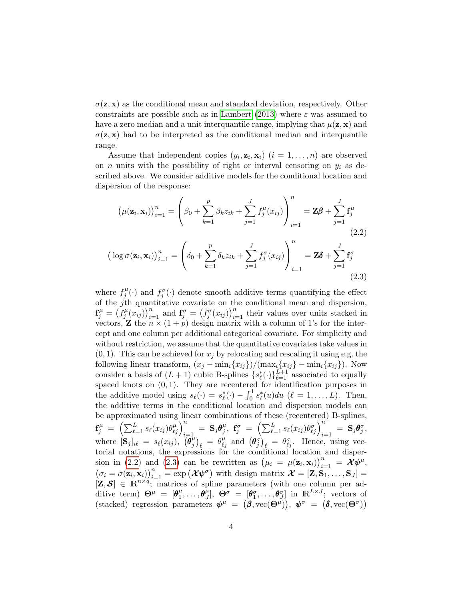$\sigma(\mathbf{z}, \mathbf{x})$  as the conditional mean and standard deviation, respectively. Other constraints are possible such as in [Lambert](#page-27-6) [\(2013\)](#page-27-6) where  $\varepsilon$  was assumed to have a zero median and a unit interquantile range, implying that  $\mu(\mathbf{z}, \mathbf{x})$  and  $\sigma(\mathbf{z}, \mathbf{x})$  had to be interpreted as the conditional median and interquantile range.

Assume that independent copies  $(y_i, \mathbf{z}_i, \mathbf{x}_i)$   $(i = 1, \ldots, n)$  are observed on *n* units with the possibility of right or interval censoring on  $y_i$  as described above. We consider additive models for the conditional location and dispersion of the response:

<span id="page-3-1"></span><span id="page-3-0"></span>
$$
(\mu(\mathbf{z}_i, \mathbf{x}_i))_{i=1}^n = \left(\beta_0 + \sum_{k=1}^p \beta_k z_{ik} + \sum_{j=1}^J f_j^{\mu}(x_{ij})\right)_{i=1}^n = \mathbf{Z}\boldsymbol{\beta} + \sum_{j=1}^J \mathbf{f}_j^{\mu}
$$
  
\n
$$
\left(\log \sigma(\mathbf{z}_i, \mathbf{x}_i)\right)_{i=1}^n = \left(\delta_0 + \sum_{k=1}^p \delta_k z_{ik} + \sum_{j=1}^J f_j^{\sigma}(x_{ij})\right)_{i=1}^n = \mathbf{Z}\boldsymbol{\delta} + \sum_{j=1}^J \mathbf{f}_j^{\sigma}
$$
  
\n(2.3)

where  $f_i^{\mu}$  $f_j^{\mu}(\cdot)$  and  $f_j^{\sigma}(\cdot)$  denote smooth additive terms quantifying the effect of the  $j$ <sup>th</sup> quantitative covariate on the conditional mean and dispersion,  $\mathbf{f}^{\mu}_j = \left( f^{\mu}_j \right)$  $(f_j^{\mu}(x_{ij}))_{i=1}^n$  and  $\mathbf{f}_j^{\sigma} = (f_j^{\sigma}(x_{ij}))_{i=1}^n$  their values over units stacked in vectors, **Z** the  $n \times (1 + p)$  design matrix with a column of 1's for the intercept and one column per additional categorical covariate. For simplicity and without restriction, we assume that the quantitative covariates take values in  $(0, 1)$ . This can be achieved for  $x_j$  by relocating and rescaling it using e.g. the following linear transform,  $(x_j - \min_i \{x_{ij}\})/(\max_i \{x_{ij}\} - \min_i \{x_{ij}\})$ . Now consider a basis of  $(L + 1)$  cubic B-splines  $\{s^*_{\ell}(\cdot)\}_{\ell=1}^{L+1}$  associated to equally spaced knots on  $(0, 1)$ . They are recentered for identification purposes in the additive model using  $s_{\ell}(\cdot) = s_{\ell}^{*}(\cdot) - \int_{0}^{1} s_{\ell}^{*}(u) du \ (\ell = 1, ..., L).$  Then, the additive terms in the conditional location and dispersion models can be approximated using linear combinations of these (recentered) B-splines,  $\mathbf{f}^\mu_j \;=\; \Bigl(\sum_{\ell=1}^L s_\ell(x_{ij}) \theta^{\mu}_{\ell j}\Bigr)^n_{i=1} \;=\; \mathbf{S}_j \boldsymbol{\theta}^{\mu}_j$  $\theta^{\mu}_j, \; {\bf f}^{\sigma}_j \; = \; \left( \sum_{\ell=1}^{L} s_\ell(x_{ij}) \theta^{\sigma}_{\ell j} \right)_{i=1}^{n'} \; = \; {\bf S}_j {\bm \theta}^{\sigma}_j,$ where  $[\mathbf{S}_j]_{i\ell} = s_{\ell}(x_{ij}), \ \overline{(\boldsymbol{\theta}_j^{\mu})}$  $\left(\begin{matrix} \mu \\ j \end{matrix}\right)_{\ell} = \theta^{\mu}_{\ell j}$  and  $\left(\boldsymbol{\theta}^{\sigma}_{j}\right)_{\ell} = \theta^{\sigma}_{\ell j}$ . Hence, using vectorial notations, the expressions for the conditional location and disper-sion in [\(2.2\)](#page-3-0) and [\(2.3\)](#page-3-1) can be rewritten as  $(\mu_i = \mu(\mathbf{z}_i, \mathbf{x}_i))_{i=1}^n = \mathbf{\hat{X}} \psi^{\mu},$  $(\sigma_i = \sigma(\mathbf{z}_i, \mathbf{x}_i))_{i=1}^n = \exp(\boldsymbol{\mathcal{X}}\boldsymbol{\psi}^{\sigma})$  with design matrix  $\boldsymbol{\mathcal{X}} = [\mathbf{Z}, \mathbf{S}_1, \dots, \mathbf{S}_J] =$  $[\mathbf{Z}, \mathbf{S}] \in \mathbb{R}^{n \times q}$ ; matrices of spline parameters (with one column per additive term)  $\mathbf{\Theta}^{\mu} = [\mathbf{\theta}^{\mu}_{1}]$  $\theta_1^{\mu},\ldots,\boldsymbol{\theta}_J^{\bar{\mu}}],\;\boldsymbol{\Theta}^{\sigma}\;=\;[\boldsymbol{\theta}_1^{\sigma},\ldots,\boldsymbol{\theta}_J^{\sigma}]\;\,\text{in}\;\;\text{I\!R}^{L\times J};\;\,\text{vectors}\;\,\text{of}$ (stacked) regression parameters  $\psi^{\mu} = (\beta, \text{vec}(\Theta^{\mu}))$ ,  $\psi^{\sigma} = (\delta, \text{vec}(\Theta^{\sigma}))$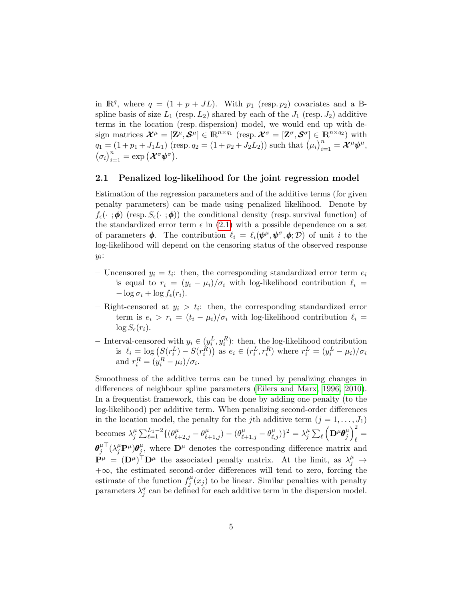in  $\mathbb{R}^q$ , where  $q = (1 + p + JL)$ . With  $p_1$  (resp.  $p_2$ ) covariates and a Bspline basis of size  $L_1$  (resp.  $L_2$ ) shared by each of the  $J_1$  (resp.  $J_2$ ) additive terms in the location (resp. dispersion) model, we would end up with design matrices  $\mathcal{X}^{\mu} = [\mathbf{Z}^{\mu}, \mathcal{S}^{\mu}] \in \mathbb{R}^{n \times q_1}$  (resp.  $\mathcal{X}^{\sigma} = [\mathbf{Z}^{\sigma}, \mathcal{S}^{\sigma}] \in \mathbb{R}^{n \times q_2}$ ) with  $q_1 = (1 + p_1 + J_1 L_1)$  (resp.  $q_2 = (1 + p_2 + J_2 L_2)$ ) such that  $(\mu_i)_{i=1}^n = \mathcal{X}^\mu \psi^\mu$ ,  $(\sigma_i)_{i=1}^n = \exp(\mathcal{X}^\sigma \psi^\sigma).$ 

#### 2.1 Penalized log-likelihood for the joint regression model

Estimation of the regression parameters and of the additive terms (for given penalty parameters) can be made using penalized likelihood. Denote by  $f_{\epsilon}(\cdot;\boldsymbol{\phi})$  (resp.  $S_{\epsilon}(\cdot;\boldsymbol{\phi})$ ) the conditional density (resp. survival function) of the standardized error term  $\epsilon$  in [\(2.1\)](#page-2-1) with a possible dependence on a set of parameters  $\phi$ . The contribution  $\ell_i = \ell_i(\psi^\mu, \psi^\sigma, \phi; \mathcal{D})$  of unit i to the log-likelihood will depend on the censoring status of the observed response  $y_i$ :

- Uncensored  $y_i = t_i$ : then, the corresponding standardized error term  $e_i$ is equal to  $r_i = (y_i - \mu_i)/\sigma_i$  with log-likelihood contribution  $\ell_i =$  $-\log \sigma_i + \log f_{\epsilon}(r_i).$
- Right-censored at  $y_i > t_i$ : then, the corresponding standardized error term is  $e_i > r_i = (t_i - \mu_i)/\sigma_i$  with log-likelihood contribution  $\ell_i =$  $\log S_{\epsilon}(r_i)$ .
- Interval-censored with  $y_i$  ∈  $(y_i^L, y_i^R)$ : then, the log-likelihood contribution is  $\ell_i = \log (S(r_i^L) - S(r_i^R))$  as  $e_i \in (r_i^L, r_i^R)$  where  $r_i^L = (y_i^L - \mu_i)/\sigma_i$ and  $r_i^R = (y_i^R - \mu_i)/\sigma_i$ .

Smoothness of the additive terms can be tuned by penalizing changes in differences of neighbour spline parameters [\(Eilers and Marx, 1996,](#page-26-4) [2010\)](#page-26-5). In a frequentist framework, this can be done by adding one penalty (to the log-likelihood) per additive term. When penalizing second-order differences in the location model, the penalty for the j<sup>th</sup> additive term  $(j = 1, \ldots, J_1)$ becomes  $\lambda_i^{\mu}$  $\frac{\mu}{j} \sum_{\ell=1}^{L_1-2} \{ (\theta^{\mu}_{\ell+2,j} - \theta^{\mu}_{\ell+1,j}) - (\theta^{\mu}_{\ell+1,j} - \theta^{\mu}_{\ell,j}) \}^2 = \lambda^{\mu}_{j}$  $_{j}^{\mu }\sum_{\ell }\left( \mathbf{D}^{\mu }\boldsymbol{\theta}_{j}^{\mu }\right)$  $\binom{\mu}{j}^2$  $\mathbf{r} =$  $\bm{\theta}^{\mu}_i$ j  ${}^\top (\lambda_j^\mu \mathbf{P}^\mu) \boldsymbol{\theta}_j^\mu$  $j^{\mu}$ , where  $\mathbf{D}^{\mu}$  denotes the corresponding difference matrix and  $\mathbf{P}^{\mu} = (\mathbf{D}^{\mu})^{\top} \mathbf{D}^{\mu}$  the associated penalty matrix. At the limit, as  $\lambda_j^{\mu} \rightarrow$ +∞, the estimated second-order differences will tend to zero, forcing the estimate of the function  $f_i^{\mu}$  $j^{\mu}(x_j)$  to be linear. Similar penalties with penalty parameters  $\lambda_j^{\sigma}$  can be defined for each additive term in the dispersion model.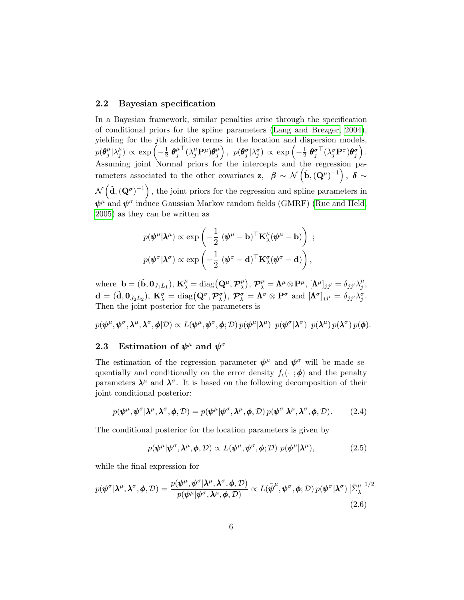#### 2.2 Bayesian specification

In a Bayesian framework, similar penalties arise through the specification of conditional priors for the spline parameters [\(Lang and Brezger, 2004\)](#page-27-5), yielding for the jth additive terms in the location and dispersion models,  $p(\boldsymbol{\theta}^{\mu}_i$  $_{j}^{\mu}|\lambda_{j}^{\mu}$  $\binom{\mu}{j} \propto \exp\left(-\frac{1}{2}\right)$  $\frac{1}{2}$   $\boldsymbol{\theta}^{\mu}_j$ j  ${}^\top (\lambda_j^\mu \mathbf{P}^\mu) \boldsymbol{\theta}_j^\mu$  $\left(\begin{smallmatrix} \mu\ j \end{smallmatrix}\right),~~ p(\boldsymbol{\theta}^{\sigma}_j|\lambda^{\sigma}_j) \propto \exp\left(-\frac{1}{2}\right)$  $\frac{1}{2} \; \boldsymbol{\theta}^{\sigma\top}_j (\lambda^{\sigma}_j \mathbf{P}^{\sigma}) \boldsymbol{\theta}^{\sigma}_j \Big) \, .$ Assuming joint Normal priors for the intercepts and the regression parameters associated to the other covariates z,  $\beta \sim \mathcal{N}(\tilde{\mathbf{b}}, (\mathbf{Q}^{\mu})^{-1}), \delta \sim$  $\mathcal{N}(\tilde{\mathbf{d}},(\mathbf{Q}^{\sigma})^{-1})$ , the joint priors for the regression and spline parameters in  $\pmb{\psi}^{\mu}$  and  $\pmb{\psi}^{\sigma}$  induce Gaussian Markov random fields (GMRF) [\(Rue and Held,](#page-28-3) [2005\)](#page-28-3) as they can be written as

$$
p(\boldsymbol{\psi}^{\mu}|\boldsymbol{\lambda}^{\mu}) \propto \exp\left(-\frac{1}{2} (\boldsymbol{\psi}^{\mu} - \mathbf{b})^{\top} \mathbf{K}_{\lambda}^{\mu} (\boldsymbol{\psi}^{\mu} - \mathbf{b})\right) ;
$$
  

$$
p(\boldsymbol{\psi}^{\sigma}|\boldsymbol{\lambda}^{\sigma}) \propto \exp\left(-\frac{1}{2} (\boldsymbol{\psi}^{\sigma} - \mathbf{d})^{\top} \mathbf{K}_{\lambda}^{\sigma} (\boldsymbol{\psi}^{\sigma} - \mathbf{d})\right),
$$

where  $\mathbf{b} = (\tilde{\mathbf{b}}, \mathbf{0}_{J_1L_1}), \mathbf{K}_{\lambda}^{\mu} = \text{diag}\big(\mathbf{Q}^{\mu}, \mathcal{P}_{\lambda}^{\mu}\big)$  $\big(\mathcal{P}_{\lambda}^{\mu}\big),\,\mathcal{P}_{\lambda}^{\mu}=\mathbf{\Lambda}^{\mu}\!\otimes\!\mathbf{P}^{\mu},\,[\mathbf{\Lambda}^{\mu}]_{jj'}=\delta_{jj'}\lambda_{j'}^{\mu}$  $_{j}^{\mu },$  $\mathbf{d} = (\tilde{\mathbf{d}}, \mathbf{0}_{J_2L_2}), \ \mathbf{K}_{\lambda}^{\sigma} = \text{diag}\left(\mathbf{Q}^{\sigma}, \mathcal{P}_{\lambda}^{\sigma}\right), \ \mathcal{P}_{\lambda}^{\sigma} = \mathbf{\Lambda}^{\sigma} \otimes \mathbf{P}^{\sigma} \ \text{and} \ [\mathbf{\Lambda}^{\sigma}]_{jj'} = \delta_{jj'} \lambda_{j}^{\sigma}.$ Then the joint posterior for the parameters is

 $p(\boldsymbol{\psi}^{\mu},\boldsymbol{\psi}^{\sigma},\boldsymbol{\lambda}^{\mu},\boldsymbol{\lambda}^{\sigma},\boldsymbol{\phi}|\mathcal{D}) \propto L(\boldsymbol{\psi}^{\mu},\boldsymbol{\psi}^{\sigma},\boldsymbol{\phi};\mathcal{D})\, p(\boldsymbol{\psi}^{\mu}|\boldsymbol{\lambda}^{\mu})\, \, p(\boldsymbol{\psi}^{\sigma}|\boldsymbol{\lambda}^{\sigma})\, \, p(\boldsymbol{\lambda}^{\mu})\, p(\boldsymbol{\lambda}^{\sigma})\, p(\boldsymbol{\phi}).$ 

### 2.3 Estimation of  $\psi^{\mu}$  and  $\psi^{\sigma}$

The estimation of the regression parameter  $\psi^{\mu}$  and  $\psi^{\sigma}$  will be made sequentially and conditionally on the error density  $f_{\epsilon}(\cdot;\boldsymbol{\phi})$  and the penalty parameters  $\lambda^{\mu}$  and  $\lambda^{\sigma}$ . It is based on the following decomposition of their joint conditional posterior:

$$
p(\boldsymbol{\psi}^{\mu}, \boldsymbol{\psi}^{\sigma} | \boldsymbol{\lambda}^{\mu}, \boldsymbol{\lambda}^{\sigma}, \boldsymbol{\phi}, \mathcal{D}) = p(\boldsymbol{\psi}^{\mu} | \boldsymbol{\psi}^{\sigma}, \boldsymbol{\lambda}^{\mu}, \boldsymbol{\phi}, \mathcal{D}) p(\boldsymbol{\psi}^{\sigma} | \boldsymbol{\lambda}^{\mu}, \boldsymbol{\lambda}^{\sigma}, \boldsymbol{\phi}, \mathcal{D}).
$$
 (2.4)

The conditional posterior for the location parameters is given by

<span id="page-5-1"></span><span id="page-5-0"></span>
$$
p(\boldsymbol{\psi}^{\mu}|\boldsymbol{\psi}^{\sigma},\boldsymbol{\lambda}^{\mu},\boldsymbol{\phi},\mathcal{D}) \propto L(\boldsymbol{\psi}^{\mu},\boldsymbol{\psi}^{\sigma},\boldsymbol{\phi};\mathcal{D}) \ p(\boldsymbol{\psi}^{\mu}|\boldsymbol{\lambda}^{\mu}), \qquad (2.5)
$$

while the final expression for

$$
p(\boldsymbol{\psi}^{\sigma}|\boldsymbol{\lambda}^{\mu},\boldsymbol{\lambda}^{\sigma},\boldsymbol{\phi},\mathcal{D})=\frac{p(\boldsymbol{\psi}^{\mu},\boldsymbol{\psi}^{\sigma}|\boldsymbol{\lambda}^{\mu},\boldsymbol{\lambda}^{\sigma},\boldsymbol{\phi},\mathcal{D})}{p(\boldsymbol{\psi}^{\mu}|\boldsymbol{\psi}^{\sigma},\boldsymbol{\lambda}^{\mu},\boldsymbol{\phi},\mathcal{D})}\propto L(\tilde{\boldsymbol{\psi}}^{\mu},\boldsymbol{\psi}^{\sigma},\boldsymbol{\phi};\mathcal{D})p(\boldsymbol{\psi}^{\sigma}|\boldsymbol{\lambda}^{\sigma})\left|\tilde{\Sigma}_{\lambda}^{\mu}\right|^{1/2}
$$
\n(2.6)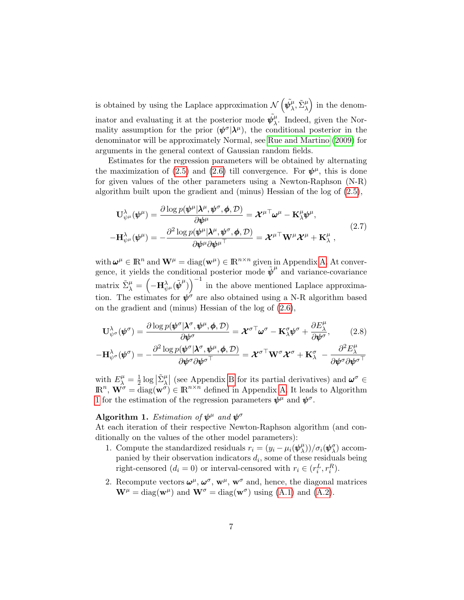is obtained by using the Laplace approximation  $\mathcal{N}(\tilde{\psi}_{\lambda}^{\mu})$  $(\hat{\mu}, \tilde{\Sigma}_{\lambda}^{\mu})$  in the denominator and evaluating it at the posterior mode  $\tilde{\psi}_{\lambda}^{\mu}$  $\mu$ . Indeed, given the Normality assumption for the prior  $(\psi^{\sigma}|\lambda^{\mu})$ , the conditional posterior in the denominator will be approximately Normal, see [Rue and Martino](#page-28-4) [\(2009\)](#page-28-4) for arguments in the general context of Gaussian random fields.

Estimates for the regression parameters will be obtained by alternating the maximization of [\(2.5\)](#page-5-0) and [\(2.6\)](#page-5-1) till convergence. For  $\psi^{\mu}$ , this is done for given values of the other parameters using a Newton-Raphson (N-R) algorithm built upon the gradient and (minus) Hessian of the log of [\(2.5\)](#page-5-0),

<span id="page-6-1"></span>
$$
\mathbf{U}_{\psi^{\mu}}^{\lambda}(\psi^{\mu}) = \frac{\partial \log p(\psi^{\mu}|\lambda^{\mu}, \psi^{\sigma}, \phi, \mathcal{D})}{\partial \psi^{\mu}} = \mathcal{X}^{\mu \top} \omega^{\mu} - \mathbf{K}_{\lambda}^{\mu} \psi^{\mu},
$$
\n
$$
-\mathbf{H}_{\psi^{\mu}}^{\lambda}(\psi^{\mu}) = -\frac{\partial^{2} \log p(\psi^{\mu}|\lambda^{\mu}, \psi^{\sigma}, \phi, \mathcal{D})}{\partial \psi^{\mu} \partial \psi^{\mu \top}} = \mathcal{X}^{\mu \top} \mathbf{W}^{\mu} \mathcal{X}^{\mu} + \mathbf{K}_{\lambda}^{\mu},
$$
\n(2.7)

with  $\boldsymbol{\omega}^{\mu} \in \mathbb{R}^{n}$  and  $\mathbf{W}^{\mu} = \text{diag}(\mathbf{w}^{\mu}) \in \mathbb{R}^{n \times n}$  given in Appendix [A.](#page-23-0) At convergence, it yields the conditional posterior mode  $\tilde{\psi}^{\mu}$  and variance-covariance matrix  $\tilde{\Sigma}_{\lambda}^{\mu} = \left(-\mathbf{H}^{\lambda}_{\psi^{\mu}}(\tilde{\boldsymbol{\psi}}^{\mu})\right)^{-1}$  in the above mentioned Laplace approximation. The estimates for  $\psi^{\sigma}$  are also obtained using a N-R algorithm based on the gradient and (minus) Hessian of the log of [\(2.6\)](#page-5-1),

<span id="page-6-2"></span>
$$
\mathbf{U}_{\psi^{\sigma}}^{\lambda}(\boldsymbol{\psi}^{\sigma}) = \frac{\partial \log p(\boldsymbol{\psi}^{\sigma}|\boldsymbol{\lambda}^{\sigma},\boldsymbol{\psi}^{\mu},\boldsymbol{\phi},\mathcal{D})}{\partial \boldsymbol{\psi}^{\sigma}} = \boldsymbol{\mathcal{X}}^{\sigma \top} \boldsymbol{\omega}^{\sigma} - \mathbf{K}_{\lambda}^{\sigma} \boldsymbol{\psi}^{\sigma} + \frac{\partial E_{\lambda}^{\mu}}{\partial \boldsymbol{\psi}^{\sigma}},
$$
(2.8)

$$
-\mathbf{H}^\lambda_{\psi^\sigma}(\pmb{\psi}^\sigma)=-\frac{\partial^2 \log p(\pmb{\psi}^\sigma|\pmb{\lambda}^\sigma,\pmb{\psi}^\mu,\pmb{\phi},\mathcal{D})}{\partial \pmb{\psi}^\sigma \partial \pmb{\psi}^{\sigma\top}}=\pmb{\mathcal{X}}^{\sigma\top}\mathbf{W}^\sigma\pmb{\mathcal{X}}^\sigma+\mathbf{K}^\sigma_\lambda\ -\frac{\partial^2 E^\mu_\lambda}{\partial \pmb{\psi}^\sigma \partial \pmb{\psi}^{\sigma\top}}
$$

with  $E^{\mu}_{\lambda} = \frac{1}{2}$  $\frac{1}{2} \log |\tilde{\Sigma}_{\lambda}^{\mu}|$  (see Appendix [B](#page-23-1) for its partial derivatives) and  $\omega^{\sigma} \in$  $\mathbb{R}^n$ ,  $\mathbf{W}^{\sigma} = \text{diag}(\mathbf{w}^{\sigma}) \in \mathbb{R}^{n \times n}$  defined in Appendix [A.](#page-23-0) It leads to Algorithm [1](#page-6-0) for the estimation of the regression parameters  $\psi^{\mu}$  and  $\psi^{\sigma}$ .

### <span id="page-6-0"></span>Algorithm 1. Estimation of  $\psi^{\mu}$  and  $\psi^{\sigma}$

At each iteration of their respective Newton-Raphson algorithm (and conditionally on the values of the other model parameters):

- 1. Compute the standardized residuals  $r_i = (y_i \mu_i)\psi_\lambda^\mu$  $\binom{\mu}{\lambda}$ ) $/\sigma_i(\pmb{\psi}_{\lambda}^{\sigma})$  accompanied by their observation indicators  $d_i$ , some of these residuals being right-censored  $(d_i = 0)$  or interval-censored with  $r_i \in (r_i^L, r_i^R)$ .
- 2. Recompute vectors  $\boldsymbol{\omega}^{\mu}$ ,  $\boldsymbol{\omega}^{\sigma}$ ,  $\mathbf{w}^{\mu}$ ,  $\mathbf{w}^{\sigma}$  and, hence, the diagonal matrices  $\mathbf{W}^{\mu} = \text{diag}(\mathbf{w}^{\mu})$  and  $\mathbf{W}^{\sigma} = \text{diag}(\mathbf{w}^{\sigma})$  using [\(A.1\)](#page-23-2) and [\(A.2\)](#page-23-3).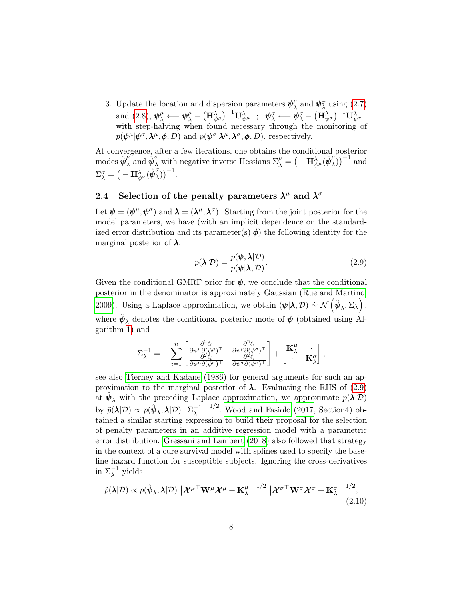3. Update the location and dispersion parameters  $\psi^{\mu}_{\lambda}$  $^{\mu}_{\lambda}$  and  $\pmb{\psi}^{\sigma}_{\lambda}$  using [\(2.7\)](#page-6-1)  $\text{and} \,\, (2.8), \, \bm{\psi}^\mu_\lambda \longleftarrow \bm{\psi}^\mu_\lambda - \left(\mathbf{H}^\lambda_{\psi^\mu}\right)^{-1}\mathbf{U}^\lambda_{\psi^\mu} \,\,\, ; \,\,\,\, \bm{\psi}^\sigma_\lambda \longleftarrow \bm{\psi}^\sigma_\lambda - \left(\mathbf{H}^\lambda_{\psi^\sigma}\right)^{-1}\mathbf{U}^\lambda_{\psi^\sigma} \,\, ,$  $\text{and} \,\, (2.8), \, \bm{\psi}^\mu_\lambda \longleftarrow \bm{\psi}^\mu_\lambda - \left(\mathbf{H}^\lambda_{\psi^\mu}\right)^{-1}\mathbf{U}^\lambda_{\psi^\mu} \,\,\, ; \,\,\,\, \bm{\psi}^\sigma_\lambda \longleftarrow \bm{\psi}^\sigma_\lambda - \left(\mathbf{H}^\lambda_{\psi^\sigma}\right)^{-1}\mathbf{U}^\lambda_{\psi^\sigma} \,\, ,$  $\text{and} \,\, (2.8), \, \bm{\psi}^\mu_\lambda \longleftarrow \bm{\psi}^\mu_\lambda - \left(\mathbf{H}^\lambda_{\psi^\mu}\right)^{-1}\mathbf{U}^\lambda_{\psi^\mu} \,\,\, ; \,\,\,\, \bm{\psi}^\sigma_\lambda \longleftarrow \bm{\psi}^\sigma_\lambda - \left(\mathbf{H}^\lambda_{\psi^\sigma}\right)^{-1}\mathbf{U}^\lambda_{\psi^\sigma} \,\, ,$ with step-halving when found necessary through the monitoring of  $p(\boldsymbol{\psi}^{\mu}|\boldsymbol{\psi}^{\sigma},\boldsymbol{\lambda}^{\mu},\boldsymbol{\phi},D)$  and  $p(\boldsymbol{\psi}^{\sigma}|\boldsymbol{\lambda}^{\mu},\boldsymbol{\lambda}^{\sigma},\boldsymbol{\phi},D)$ , respectively.

At convergence, after a few iterations, one obtains the conditional posterior modes  $\hat{\psi}_{\lambda}^{\mu}$  and  $\hat{\psi}_{\lambda}^{\sigma}$  with negative inverse Hessians  $\Sigma_{\lambda}^{\mu} = \left(-\mathbf{H}_{\psi^{\mu}}^{\lambda}(\hat{\psi}_{\lambda}^{\mu})\right)$  $\binom{\mu}{\lambda}$ <sup>-1</sup> and  $\Sigma_\lambda^\sigma=\big(-\mathbf{H}^\lambda_{\psi^\sigma}(\hat{\pmb{\psi}}^\sigma_\lambda$  $\binom{\sigma}{\lambda}$ )<sup>-1</sup>.

### <span id="page-7-0"></span>2.4 Selection of the penalty parameters  $\lambda^{\mu}$  and  $\lambda^{\sigma}$

Let  $\psi = (\psi^{\mu}, \psi^{\sigma})$  and  $\lambda = (\lambda^{\mu}, \lambda^{\sigma})$ . Starting from the joint posterior for the model parameters, we have (with an implicit dependence on the standardized error distribution and its parameter(s)  $\phi$ ) the following identity for the marginal posterior of  $\lambda$ :

<span id="page-7-1"></span>
$$
p(\lambda|\mathcal{D}) = \frac{p(\psi, \lambda|\mathcal{D})}{p(\psi|\lambda, \mathcal{D})}.
$$
\n(2.9)

Given the conditional GMRF prior for  $\psi$ , we conclude that the conditional posterior in the denominator is approximately Gaussian [\(Rue and Martino,](#page-28-4) [2009\)](#page-28-4). Using a Laplace approximation, we obtain  $(\psi | \lambda, \mathcal{D}) \sim \mathcal{N}(\hat{\psi}_{\lambda}, \Sigma_{\lambda}),$ where  $\hat{\psi}_{\lambda}$  denotes the conditional posterior mode of  $\psi$  (obtained using Algorithm [1\)](#page-6-0) and

$$
\Sigma_{\lambda}^{-1} = -\sum_{i=1}^{n} \begin{bmatrix} \frac{\partial^2 \ell_i}{\partial \psi^{\mu} \partial (\psi^{\mu})^{\top}} & \frac{\partial^2 \ell_i}{\partial \psi^{\mu} \partial (\psi^{\sigma})^{\top}} \\ \frac{\partial^2 \ell_i}{\partial \psi^{\mu} \partial (\psi^{\sigma})^{\top}} & \frac{\partial^2 \ell_i}{\partial \psi^{\sigma} \partial (\psi^{\sigma})^{\top}} \end{bmatrix} + \begin{bmatrix} \mathbf{K}_{\lambda}^{\mu} & \cdot \\ \cdot & \mathbf{K}_{\lambda}^{\sigma} \end{bmatrix},
$$

see also [Tierney and Kadane](#page-28-5) [\(1986\)](#page-28-5) for general arguments for such an approximation to the marginal posterior of  $\lambda$ . Evaluating the RHS of [\(2.9\)](#page-7-1) at  $\hat{\psi}_{\lambda}$  with the preceding Laplace approximation, we approximate  $p(\lambda|\mathcal{D})$ by  $\tilde{p}(\lambda|\mathcal{D}) \propto p(\hat{\boldsymbol{\psi}}_{\lambda},\lambda|\mathcal{D}) \, \left| \Sigma_{\lambda}^{-1} \right|$  $\frac{-1}{\lambda}$  $^{-1/2}$ . [Wood and Fasiolo](#page-28-6) [\(2017,](#page-28-6) Section4) obtained a similar starting expression to build their proposal for the selection of penalty parameters in an additive regression model with a parametric error distribution. [Gressani and Lambert](#page-26-6) [\(2018\)](#page-26-6) also followed that strategy in the context of a cure survival model with splines used to specify the baseline hazard function for susceptible subjects. Ignoring the cross-derivatives in  $\Sigma_{\lambda}^{-1}$  yields

<span id="page-7-2"></span>
$$
\tilde{p}(\lambda|\mathcal{D}) \propto p(\hat{\boldsymbol{\psi}}_{\lambda},\lambda|\mathcal{D}) \left| \mathcal{X}^{\mu \top} \mathbf{W}^{\mu} \mathcal{X}^{\mu} + \mathbf{K}_{\lambda}^{\mu} \right|^{-1/2} \left| \mathcal{X}^{\sigma \top} \mathbf{W}^{\sigma} \mathcal{X}^{\sigma} + \mathbf{K}_{\lambda}^{\sigma} \right|^{-1/2},
$$
\n(2.10)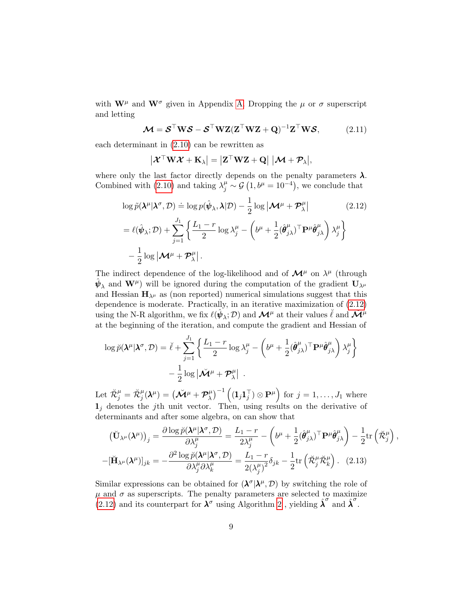with  $\mathbf{W}^{\mu}$  and  $\mathbf{W}^{\sigma}$  given in Appendix [A.](#page-23-0) Dropping the  $\mu$  or  $\sigma$  superscript and letting

$$
\mathcal{M} = \mathcal{S}^{\top} \mathbf{W} \mathcal{S} - \mathcal{S}^{\top} \mathbf{W} \mathbf{Z} (\mathbf{Z}^{\top} \mathbf{W} \mathbf{Z} + \mathbf{Q})^{-1} \mathbf{Z}^{\top} \mathbf{W} \mathcal{S},
$$
(2.11)

each determinant in [\(2.10\)](#page-7-2) can be rewritten as

<span id="page-8-2"></span><span id="page-8-0"></span>
$$
\left|\mathcal{X}^{\top} \mathbf{W} \mathcal{X} + \mathbf{K}_{\lambda}\right| = \left|\mathbf{Z}^{\top} \mathbf{W} \mathbf{Z} + \mathbf{Q}\right| \left|\mathcal{M} + \mathcal{P}_{\lambda}\right|,
$$

where only the last factor directly depends on the penalty parameters  $\lambda$ . Combined with [\(2.10\)](#page-7-2) and taking  $\lambda_j^{\mu} \sim \mathcal{G}(1, b^{\mu} = 10^{-4})$ , we conclude that

$$
\log \tilde{p}(\boldsymbol{\lambda}^{\mu}|\boldsymbol{\lambda}^{\sigma}, \mathcal{D}) \doteq \log p(\hat{\boldsymbol{\psi}}_{\lambda}, \boldsymbol{\lambda}|\mathcal{D}) - \frac{1}{2} \log |\boldsymbol{\mathcal{M}}^{\mu} + \boldsymbol{\mathcal{P}}_{\lambda}^{\mu}| \qquad (2.12)
$$

$$
= \ell(\hat{\boldsymbol{\psi}}_{\lambda}; \mathcal{D}) + \sum_{j=1}^{J_1} \left\{ \frac{L_1 - r}{2} \log \lambda_j^{\mu} - \left( b^{\mu} + \frac{1}{2} (\hat{\boldsymbol{\theta}}_{j\lambda}^{\mu})^{\top} \mathbf{P}^{\mu} \hat{\boldsymbol{\theta}}_{j\lambda}^{\mu} \right) \lambda_j^{\mu} \right\}
$$

$$
- \frac{1}{2} \log |\boldsymbol{\mathcal{M}}^{\mu} + \boldsymbol{\mathcal{P}}_{\lambda}^{\mu}|.
$$

The indirect dependence of the log-likelihood and of  $\mathcal{M}^{\mu}$  on  $\lambda^{\mu}$  (through  $\hat{\psi}_{\lambda}$  and  $\mathbf{W}^{\mu}$ ) will be ignored during the computation of the gradient  $\mathbf{U}_{\lambda^{\mu}}$ and Hessian  $H_{\lambda^{\mu}}$  as (non reported) numerical simulations suggest that this dependence is moderate. Practically, in an iterative maximization of [\(2.12\)](#page-8-0) using the N-R algorithm, we fix  $\ell(\hat{\psi}_\lambda; \mathcal{D})$  and  $\mathcal{M}^\mu$  at their values  $\check{\ell}$  and  $\check{\mathcal{M}}^\mu$ at the beginning of the iteration, and compute the gradient and Hessian of

$$
\log \breve{p}(\lambda^{\mu}|\lambda^{\sigma}, \mathcal{D}) = \breve{\ell} + \sum_{j=1}^{J_1} \left\{ \frac{L_1 - r}{2} \log \lambda_j^{\mu} - \left( b^{\mu} + \frac{1}{2} (\hat{\theta}_{j\lambda}^{\mu})^{\top} \mathbf{P}^{\mu} \hat{\theta}_{j\lambda}^{\mu} \right) \lambda_j^{\mu} \right\} - \frac{1}{2} \log |\breve{\mathcal{M}}^{\mu} + \mathcal{P}_{\lambda}^{\mu}|.
$$

Let  $\breve{\mathcal{R}}^{\mu}_j = \breve{\mathcal{R}}^{\mu}_j(\pmb{\lambda}^{\mu}) = \big(\breve{\mathcal{M}}^{\mu} + \mathcal{P}^{\mu}_{\lambda}\big)$  $\left(\mathbf{1}_j\mathbf{1}_j^\top\right)\otimes\mathbf{P}^\mu\right) \text{ for } j=1,\ldots,J_1 \text{ where}$  $\mathbf{1}_i$  denotes the j<sup>th</sup> unit vector. Then, using results on the derivative of determinants and after some algebra, on can show that

<span id="page-8-1"></span>
$$
\left(\breve{\mathbf{U}}_{\lambda^{\mu}}(\boldsymbol{\lambda}^{\mu})\right)_{j} = \frac{\partial \log \breve{p}(\boldsymbol{\lambda}^{\mu}|\boldsymbol{\lambda}^{\sigma}, \mathcal{D})}{\partial \lambda_{j}^{\mu}} = \frac{L_{1} - r}{2\lambda_{j}^{\mu}} - \left(b^{\mu} + \frac{1}{2}(\hat{\boldsymbol{\theta}}_{j\lambda}^{\mu})^{\top} \mathbf{P}^{\mu} \hat{\boldsymbol{\theta}}_{j\lambda}^{\mu}\right) - \frac{1}{2} \text{tr}\left(\breve{\mathcal{R}}_{j}^{\mu}\right),
$$

$$
-[\breve{\mathbf{H}}_{\lambda^{\mu}}(\boldsymbol{\lambda}^{\mu})]_{jk} = -\frac{\partial^{2} \log \breve{p}(\boldsymbol{\lambda}^{\mu}|\boldsymbol{\lambda}^{\sigma}, \mathcal{D})}{\partial \lambda_{j}^{\mu} \partial \lambda_{k}^{\mu}} = \frac{L_{1} - r}{2(\lambda_{j}^{\mu})^{2}} \delta_{jk} - \frac{1}{2} \text{tr}\left(\breve{\mathcal{R}}_{j}^{\mu} \breve{\mathcal{R}}_{k}^{\mu}\right). \quad (2.13)
$$

Similar expressions can be obtained for  $(\lambda^{\sigma}|\lambda^{\mu}, \mathcal{D})$  by switching the role of  $\mu$  and  $\sigma$  as superscripts. The penalty parameters are selected to maximize [\(2.12\)](#page-8-0) and its counterpart for  $\lambda^{\sigma}$  using Algorithm [2](#page-9-1), yielding  $\hat{\lambda}^{\sigma}$  and  $\hat{\lambda}^{\sigma}$ .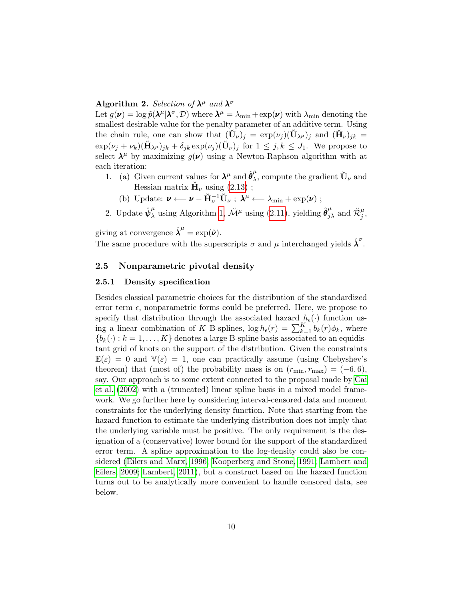### <span id="page-9-1"></span>Algorithm 2. Selection of  $\lambda^{\mu}$  and  $\lambda^{\sigma}$

Let  $g(\nu) = \log \tilde{p}(\lambda^{\mu}|\lambda^{\sigma}, \mathcal{D})$  where  $\lambda^{\mu} = \lambda_{\min} + \exp(\nu)$  with  $\lambda_{\min}$  denoting the smallest desirable value for the penalty parameter of an additive term. Using the chain rule, one can show that  $(\check{\mathbf{U}}_{\nu})_j = \exp(\nu_j)(\check{\mathbf{U}}_{\lambda^{\mu}})_j$  and  $(\check{\mathbf{H}}_{\nu})_{jk} =$  $\exp(\nu_j + \nu_k)(\breve{\mathbf{H}}_{\lambda^{\mu}})_{jk} + \delta_{jk} \exp(\nu_j)(\breve{\mathbf{U}}_{\nu})_j$  for  $1 \leq j, k \leq J_1$ . We propose to select  $\lambda^{\mu}$  by maximizing  $g(\nu)$  using a Newton-Raphson algorithm with at each iteration:

- 1. (a) Given current values for  $\lambda^{\mu}$  and  $\hat{\theta}^{\mu}_{\lambda}$  $_{\lambda}^{\mu}$ , compute the gradient  $\check{\mathbf{U}}_{\nu}$  and Hessian matrix  $\check{H}_{\nu}$  using  $(2.13)$ ;
	- (b) Update:  $\boldsymbol{\nu} \leftarrow \boldsymbol{\nu} \breve{\mathbf{H}}_{\nu}^{-1} \breve{\mathbf{U}}_{\nu}$ ;  $\boldsymbol{\lambda}^{\mu} \leftarrow \lambda_{\min} + \exp(\boldsymbol{\nu})$ ;
- 2. Update  $\hat{\psi}^{\mu}_{\lambda}$  using Algorithm [1,](#page-6-0)  $\breve{\mathcal{M}}^{\mu}$  using [\(2.11\)](#page-8-2), yielding  $\hat{\theta}^{\mu}_{j\lambda}$  and  $\breve{\mathcal{R}}^{\mu}_{j}$ ,

giving at convergence  $\hat{\lambda}^{\mu} = \exp(\hat{\boldsymbol{\nu}}).$ 

The same procedure with the superscripts  $\sigma$  and  $\mu$  interchanged yields  $\hat{\lambda}^{\sigma}$ .

#### <span id="page-9-0"></span>2.5 Nonparametric pivotal density

#### 2.5.1 Density specification

Besides classical parametric choices for the distribution of the standardized error term  $\epsilon$ , nonparametric forms could be preferred. Here, we propose to specify that distribution through the associated hazard  $h_{\epsilon}(\cdot)$  function using a linear combination of K B-splines,  $\log h_{\epsilon}(r) = \sum_{k=1}^{K} b_k(r) \phi_k$ , where  ${b_k(\cdot): k = 1, \ldots, K}$  denotes a large B-spline basis associated to an equidistant grid of knots on the support of the distribution. Given the constraints  $\mathbb{E}(\varepsilon) = 0$  and  $\mathbb{V}(\varepsilon) = 1$ , one can practically assume (using Chebyshev's theorem) that (most of) the probability mass is on  $(r_{\min}, r_{\max}) = (-6, 6)$ , say. Our approach is to some extent connected to the proposal made by [Cai](#page-26-7) [et al.](#page-26-7) [\(2002\)](#page-26-7) with a (truncated) linear spline basis in a mixed model framework. We go further here by considering interval-censored data and moment constraints for the underlying density function. Note that starting from the hazard function to estimate the underlying distribution does not imply that the underlying variable must be positive. The only requirement is the designation of a (conservative) lower bound for the support of the standardized error term. A spline approximation to the log-density could also be considered [\(Eilers and Marx, 1996;](#page-26-4) [Kooperberg and Stone, 1991;](#page-27-7) [Lambert and](#page-27-8) [Eilers, 2009;](#page-27-8) [Lambert, 2011\)](#page-27-9), but a construct based on the hazard function turns out to be analytically more convenient to handle censored data, see below.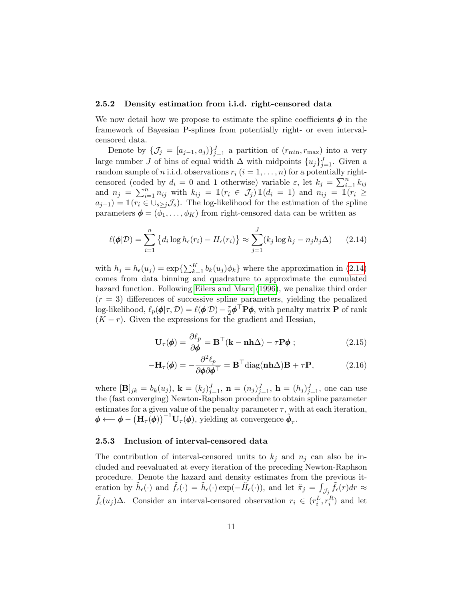#### <span id="page-10-1"></span>2.5.2 Density estimation from i.i.d. right-censored data

We now detail how we propose to estimate the spline coefficients  $\phi$  in the framework of Bayesian P-splines from potentially right- or even intervalcensored data.

Denote by  $\{\mathcal{J}_j = [a_{j-1}, a_j]\}_{j=1}^J$  a partition of  $(r_{\min}, r_{\max})$  into a very large number J of bins of equal width  $\Delta$  with midpoints  $\{u_j\}_{j=1}^J$ . Given a random sample of *n* i.i.d. observations  $r_i$   $(i = 1, \ldots, n)$  for a potentially rightcensored (coded by  $d_i = 0$  and 1 otherwise) variable  $\varepsilon$ , let  $k_j = \sum_{i=1}^n k_{ij}$ and  $n_j = \sum_{i=1}^n n_{ij}$  with  $k_{ij} = \mathbb{1}(r_i \in \mathcal{J}_j) \mathbb{1}(d_i = 1)$  and  $n_{ij} = \mathbb{1}(r_i \geq$  $a_{j-1}$ ) = 1( $r_i \in \bigcup_{s\geq j} \mathcal{J}_s$ ). The log-likelihood for the estimation of the spline parameters  $\boldsymbol{\phi} = (\phi_1, \dots, \phi_K)$  from right-censored data can be written as

$$
\ell(\boldsymbol{\phi}|\mathcal{D}) = \sum_{i=1}^{n} \left\{ d_i \log h_{\epsilon}(r_i) - H_{\epsilon}(r_i) \right\} \approx \sum_{j=1}^{J} (k_j \log h_j - n_j h_j \Delta) \qquad (2.14)
$$

with  $h_j = h_{\epsilon}(u_j) = \exp\left\{\sum_{k=1}^K b_k(u_j)\phi_k\right\}$  where the approximation in [\(2.14\)](#page-10-0) comes from data binning and quadrature to approximate the cumulated hazard function. Following [Eilers and Marx](#page-26-4) [\(1996\)](#page-26-4), we penalize third order  $(r = 3)$  differences of successive spline parameters, yielding the penalized log-likelihood,  $\ell_p(\phi | \tau, \mathcal{D}) = \ell(\phi | \mathcal{D}) - \frac{\tau}{2}$  $\frac{\tau}{2} \boldsymbol{\phi}^{\top} \mathbf{P} \boldsymbol{\phi}$ , with penalty matrix  $\mathbf{P}$  of rank  $(K - r)$ . Given the expressions for the gradient and Hessian,

<span id="page-10-3"></span><span id="page-10-2"></span><span id="page-10-0"></span>
$$
\mathbf{U}_{\tau}(\boldsymbol{\phi}) = \frac{\partial \ell_p}{\partial \boldsymbol{\phi}} = \mathbf{B}^{\top}(\mathbf{k} - \mathbf{n}\mathbf{h}\Delta) - \tau \mathbf{P} \boldsymbol{\phi} ; \qquad (2.15)
$$

$$
-\mathbf{H}_{\tau}(\boldsymbol{\phi}) = -\frac{\partial^2 \ell_p}{\partial \boldsymbol{\phi} \partial \boldsymbol{\phi}^\top} = \mathbf{B}^\top \text{diag}(\mathbf{n} \mathbf{h} \Delta) \mathbf{B} + \tau \mathbf{P}, \qquad (2.16)
$$

where  $[\mathbf{B}]_{jk} = b_k(u_j)$ ,  $\mathbf{k} = (k_j)_{j=1}^J$ ,  $\mathbf{n} = (n_j)_{j=1}^J$ ,  $\mathbf{h} = (h_j)_{j=1}^J$ , one can use the (fast converging) Newton-Raphson procedure to obtain spline parameter estimates for a given value of the penalty parameter  $\tau$ , with at each iteration,  $\boldsymbol{\phi} \longleftarrow \boldsymbol{\phi} - \left(\mathbf{H}_{\tau}(\boldsymbol{\phi})\right)^{-1} \mathbf{U}_{\tau}(\boldsymbol{\phi}), \text{ yielding at convergence } \hat{\boldsymbol{\phi}}_{\tau}.$ 

#### <span id="page-10-4"></span>2.5.3 Inclusion of interval-censored data

The contribution of interval-censored units to  $k_j$  and  $n_j$  can also be included and reevaluated at every iteration of the preceding Newton-Raphson procedure. Denote the hazard and density estimates from the previous iteration by  $\tilde{h}_{\epsilon}(\cdot)$  and  $\tilde{f}_{\epsilon}(\cdot) = \tilde{h}_{\epsilon}(\cdot) \exp(-\tilde{H}_{\epsilon}(\cdot))$ , and let  $\tilde{\pi}_{j} = \int_{\mathcal{J}_{j}} \tilde{f}_{\epsilon}(r) dr \approx$  $\tilde{f}_{\epsilon}(u_j) \Delta$ . Consider an interval-censored observation  $r_i \in (r_i^L, r_i^R)$  and let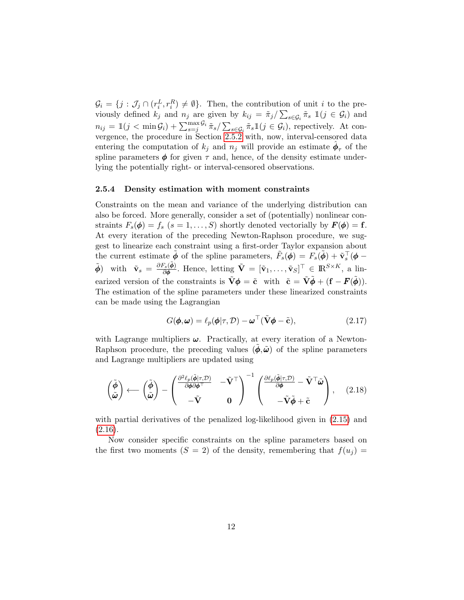$\mathcal{G}_i = \{j : \mathcal{J}_j \cap (r_i^L, r_i^R) \neq \emptyset\}$ . Then, the contribution of unit i to the previously defined  $k_j$  and  $n_j$  are given by  $k_{ij} = \tilde{\pi}_j / \sum_{s \in \mathcal{G}_i} \tilde{\pi}_s \mathbb{1}(j \in \mathcal{G}_i)$  and  $n_{ij} = \mathbb{1}(j < \min \mathcal{G}_i) + \sum_{s=j}^{\max \mathcal{G}_i} \tilde{\pi}_s / \sum_{s \in \mathcal{G}_i} \tilde{\pi}_s \mathbb{1}(j \in \mathcal{G}_i)$ , repectively. At convergence, the procedure in Section [2.5.2](#page-10-1) with, now, interval-censored data entering the computation of  $k_j$  and  $n_j$  will provide an estimate  $\hat{\phi}_{\tau}$  of the spline parameters  $\phi$  for given  $\tau$  and, hence, of the density estimate underlying the potentially right- or interval-censored observations.

#### 2.5.4 Density estimation with moment constraints

Constraints on the mean and variance of the underlying distribution can also be forced. More generally, consider a set of (potentially) nonlinear constraints  $F_s(\phi) = f_s$   $(s = 1, \ldots, S)$  shortly denoted vectorially by  $\mathbf{F}(\phi) = \mathbf{f}$ . At every iteration of the preceding Newton-Raphson procedure, we suggest to linearize each constraint using a first-order Taylor expansion about the current estimate  $\tilde{\phi}$  of the spline parameters,  $\tilde{F}_s(\phi) = F_s(\tilde{\phi}) + \tilde{\mathbf{v}}_s^{\top}(\phi - \phi)$  $\tilde{\boldsymbol{\phi}}$  with  $\tilde{\mathbf{v}}_s = \frac{\partial F_s(\tilde{\boldsymbol{\phi}})}{\partial \boldsymbol{\phi}}$ . Hence, letting  $\tilde{\mathbf{V}} = [\tilde{\mathbf{v}}_1, \dots, \tilde{\mathbf{v}}_S]^{\top} \in \mathbb{R}^{S \times K}$ , a linearized version of the constraints is  $\tilde{\mathbf{V}}\boldsymbol{\phi} = \tilde{\mathbf{c}}$  with  $\tilde{\mathbf{c}} = \tilde{\mathbf{V}}\tilde{\boldsymbol{\phi}} + (\mathbf{f} - \mathbf{F}(\tilde{\boldsymbol{\phi}})).$ The estimation of the spline parameters under these linearized constraints can be made using the Lagrangian

<span id="page-11-1"></span><span id="page-11-0"></span>
$$
G(\boldsymbol{\phi}, \boldsymbol{\omega}) = \ell_p(\boldsymbol{\phi} | \tau, \mathcal{D}) - \boldsymbol{\omega}^\top (\tilde{\mathbf{V}} \boldsymbol{\phi} - \tilde{\mathbf{c}}),
$$
\n(2.17)

with Lagrange multipliers  $\omega$ . Practically, at every iteration of a Newton-Raphson procedure, the preceding values  $(\phi, \tilde{\omega})$  of the spline parameters and Lagrange multipliers are updated using

$$
\begin{pmatrix}\n\tilde{\boldsymbol{\phi}} \\
\tilde{\boldsymbol{\omega}}\n\end{pmatrix}\n\leftarrow\n\begin{pmatrix}\n\tilde{\boldsymbol{\phi}} \\
\tilde{\boldsymbol{\omega}}\n\end{pmatrix}\n-\n\begin{pmatrix}\n\frac{\partial^2 \ell_p(\tilde{\boldsymbol{\phi}}|\tau,\mathcal{D})}{\partial \boldsymbol{\phi}\partial \boldsymbol{\phi}^\top} & -\tilde{\mathbf{V}}^\top \\
-\tilde{\mathbf{V}} & \mathbf{0}\n\end{pmatrix}^{-1}\n\begin{pmatrix}\n\frac{\partial \ell_p(\tilde{\boldsymbol{\phi}}|\tau,\mathcal{D})}{\partial \boldsymbol{\phi}} - \tilde{\mathbf{V}}^\top \tilde{\boldsymbol{\omega}} \\
-\tilde{\mathbf{V}} \tilde{\boldsymbol{\phi}} + \tilde{\mathbf{c}}\n\end{pmatrix},\n(2.18)
$$

with partial derivatives of the penalized log-likelihood given in [\(2.15\)](#page-10-2) and  $(2.16).$  $(2.16).$ 

Now consider specific constraints on the spline parameters based on the first two moments  $(S = 2)$  of the density, remembering that  $f(u_i) =$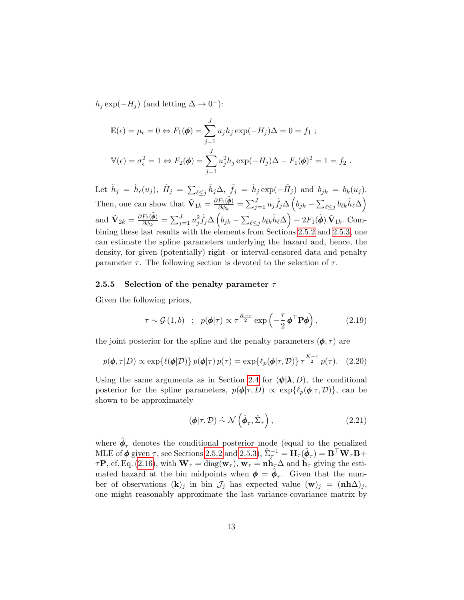$h_j \exp(-H_j)$  (and letting  $\Delta \to 0^+$ ):

$$
\mathbb{E}(\epsilon) = \mu_{\epsilon} = 0 \Leftrightarrow F_1(\phi) = \sum_{j=1}^{J} u_j h_j \exp(-H_j) \Delta = 0 = f_1 ;
$$
  

$$
\mathbb{V}(\epsilon) = \sigma_{\epsilon}^2 = 1 \Leftrightarrow F_2(\phi) = \sum_{j=1}^{J} u_j^2 h_j \exp(-H_j) \Delta - F_1(\phi)^2 = 1 = f_2 .
$$

Let  $\tilde{h}_j = \tilde{h}_{\epsilon}(u_j)$ ,  $\tilde{H}_j = \sum_{\ell \leq j} \tilde{h}_j \Delta$ ,  $\tilde{f}_j = \tilde{h}_j \exp(-\tilde{H}_j)$  and  $b_{jk} = b_k(u_j)$ . Then, one can show that  $\tilde{\mathbf{V}}_{1k} = \frac{\partial F_1(\tilde{\boldsymbol{\phi}})}{\partial \phi_k}$  $\frac{F_1(\tilde{\boldsymbol{\phi}})}{\partial \phi_k} = \sum_{j=1}^J u_j \tilde{f}_j \Delta \left( b_{jk} - \sum_{\ell \leq j} b_{\ell k} \tilde{h}_\ell \Delta \right),$ and  $\tilde{\mathbf{V}}_{2k} = \frac{\partial F_2(\tilde{\boldsymbol{\phi}})}{\partial \phi_k}$  $\frac{F_2(\tilde{\boldsymbol \phi})}{\partial \phi_k} = \sum_{j=1}^J u_j^2 \tilde f_j \Delta \left( b_{jk} - \sum_{\ell \le j} b_{\ell k} \tilde h_\ell \Delta \right) - 2 F_1(\tilde{\boldsymbol \phi}) \, \tilde{\mathbf{V}}_{1k}. \; \text{Com-}$ bining these last results with the elements from Sections [2.5.2](#page-10-1) and [2.5.3,](#page-10-4) one can estimate the spline parameters underlying the hazard and, hence, the density, for given (potentially) right- or interval-censored data and penalty parameter  $\tau$ . The following section is devoted to the selection of  $\tau$ .

#### <span id="page-12-0"></span>2.5.5 Selection of the penalty parameter  $\tau$

Given the following priors,

$$
\tau \sim \mathcal{G}(1, b) \quad ; \quad p(\pmb{\phi}|\tau) \propto \tau^{\frac{K-r}{2}} \exp\left(-\frac{\tau}{2} \pmb{\phi}^\top \mathbf{P} \pmb{\phi}\right), \tag{2.19}
$$

the joint posterior for the spline and the penalty parameters  $(\phi, \tau)$  are

$$
p(\boldsymbol{\phi}, \tau | D) \propto \exp\{\ell(\boldsymbol{\phi} | \mathcal{D})\} p(\boldsymbol{\phi} | \tau) p(\tau) = \exp\{\ell_p(\boldsymbol{\phi} | \tau, \mathcal{D})\} \tau^{\frac{K-r}{2}} p(\tau). \quad (2.20)
$$

Using the same arguments as in Section [2.4](#page-7-0) for  $(\psi | \lambda, D)$ , the conditional posterior for the spline parameters,  $p(\phi|\tau, D) \propto \exp{\{\ell_p(\phi|\tau, D)\}}$ , can be shown to be approximately

<span id="page-12-3"></span><span id="page-12-2"></span><span id="page-12-1"></span>
$$
(\boldsymbol{\phi}|\tau,\mathcal{D}) \sim \mathcal{N}\left(\hat{\boldsymbol{\phi}}_{\tau},\hat{\Sigma}_{\tau}\right),\tag{2.21}
$$

where  $\hat{\phi}_{\tau}$  denotes the conditional posterior mode (equal to the penalized MLE of  $\phi$  given  $\tau$ , see Sections [2.5.2](#page-10-1) and [2.5.3\)](#page-10-4),  $\hat{\Sigma}_{\tau}^{-1} = \mathbf{\hat{H}}_{\tau}(\hat{\phi}_{\tau}) = \mathbf{B}^{\top} \mathbf{W}_{\tau} \mathbf{B} +$  $\tau \mathbf{P}$ , cf. Eq. [\(2.16\)](#page-10-3), with  $\mathbf{W}_{\tau} = \text{diag}(\mathbf{w}_{\tau})$ ,  $\mathbf{w}_{\tau} = \mathbf{n} \hat{\mathbf{h}}_{\tau} \Delta$  and  $\hat{\mathbf{h}}_{\tau}$  giving the estimated hazard at the bin midpoints when  $\phi = \hat{\phi}_{\tau}$ . Given that the number of observations  $(k)_j$  in bin  $\mathcal{J}_j$  has expected value  $(\mathbf{w})_j = (\mathbf{n}\mathbf{h}\Delta)_j$ , one might reasonably approximate the last variance-covariance matrix by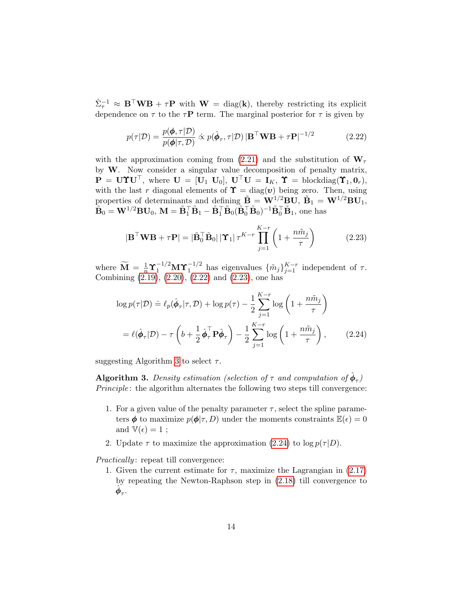$\hat{\Sigma}_{\tau}^{-1} \approx \mathbf{B}^{\top} \mathbf{W} \mathbf{B} + \tau \mathbf{P}$  with  $\mathbf{W} = \text{diag}(\mathbf{k})$ , thereby restricting its explicit dependence on  $\tau$  to the  $\tau \mathbf{P}$  term. The marginal posterior for  $\tau$  is given by

<span id="page-13-0"></span>
$$
p(\tau|\mathcal{D}) = \frac{p(\phi, \tau|\mathcal{D})}{p(\phi|\tau, \mathcal{D})} \propto p(\hat{\phi}_{\tau}, \tau|\mathcal{D}) |\mathbf{B}^{\top} \mathbf{W} \mathbf{B} + \tau \mathbf{P}|^{-1/2}
$$
(2.22)

with the approximation coming from [\(2.21\)](#page-12-1) and the substitution of  $W_{\tau}$ by W. Now consider a singular value decomposition of penalty matrix,  $\mathbf{P} = \mathbf{U} \mathbf{\hat{V}} \mathbf{U}^{\top}$ , where  $\mathbf{U} = [\mathbf{U}_1 \ \mathbf{U}_0], \ \mathbf{U}^{\top} \mathbf{U} = \mathbf{I}_K, \ \mathbf{\hat{Y}} = \text{blockdiag}(\mathbf{\hat{Y}}_1, \mathbf{0}_r),$ with the last r diagonal elements of  $\Upsilon = \text{diag}(\boldsymbol{v})$  being zero. Then, using properties of determinants and defining  $\tilde{\mathbf{B}} = \mathbf{W}^{1/2} \mathbf{B} \mathbf{U}, \ \tilde{\mathbf{B}}_1 = \mathbf{W}^{1/2} \mathbf{B} \mathbf{U}_1$ ,  $\tilde{\mathbf{B}}_0 = \mathbf{W}^{1/2} \mathbf{B} \mathbf{U}_0, \, \mathbf{M} = \tilde{\mathbf{B}}_1^\top \tilde{\mathbf{B}}_1 - \tilde{\mathbf{B}}_1^\top \tilde{\mathbf{B}}_0 (\tilde{\mathbf{B}}_0^\top \tilde{\mathbf{B}}_0)^{-1} \tilde{\mathbf{B}}_0^\top \tilde{\mathbf{B}}_1$ , one has

<span id="page-13-1"></span>
$$
|\mathbf{B}^{\top}\mathbf{W}\mathbf{B} + \tau \mathbf{P}| = |\tilde{\mathbf{B}}_0^{\top} \tilde{\mathbf{B}}_0| |\Upsilon_1| \tau^{K-r} \prod_{j=1}^{K-r} \left(1 + \frac{n\tilde{m}_j}{\tau}\right)
$$
(2.23)

where  $\widetilde{M} = \frac{1}{n} \Upsilon_1^{-1/2} M \Upsilon_1^{-1/2}$  has eigenvalues  $\{\tilde{m}_j\}_{j=1}^{K-r}$  independent of  $\tau$ . Combining [\(2.19\)](#page-12-2), [\(2.20\)](#page-12-3), [\(2.22\)](#page-13-0) and [\(2.23\)](#page-13-1), one has

<span id="page-13-3"></span>
$$
\log p(\tau|\mathcal{D}) \doteq \ell_p(\hat{\phi}_{\tau}|\tau, \mathcal{D}) + \log p(\tau) - \frac{1}{2} \sum_{j=1}^{K-r} \log \left( 1 + \frac{n\tilde{m}_j}{\tau} \right)
$$

$$
= \ell(\hat{\phi}_{\tau}|\mathcal{D}) - \tau \left( b + \frac{1}{2} \hat{\phi}_{\tau}^{\top} \mathbf{P} \hat{\phi}_{\tau} \right) - \frac{1}{2} \sum_{j=1}^{K-r} \log \left( 1 + \frac{n\tilde{m}_j}{\tau} \right), \qquad (2.24)
$$

suggesting Algorithm [3](#page-13-2) to select  $\tau$ .

<span id="page-13-2"></span>**Algorithm 3.** Density estimation (selection of  $\tau$  and computation of  $\hat{\phi}_{\tau}$ ) Principle : the algorithm alternates the following two steps till convergence:

- 1. For a given value of the penalty parameter  $\tau$ , select the spline parameters  $\phi$  to maximize  $p(\phi | \tau, D)$  under the moments constraints  $\mathbb{E}(\epsilon) = 0$ and  $\mathbb{V}(\epsilon) = 1$ ;
- 2. Update  $\tau$  to maximize the approximation [\(2.24\)](#page-13-3) to log  $p(\tau|D)$ .

Practically: repeat till convergence:

1. Given the current estimate for  $\tau$ , maximize the Lagrangian in [\(2.17\)](#page-11-0) by repeating the Newton-Raphson step in [\(2.18\)](#page-11-1) till convergence to  $\hat{\phi}_{\tau}$ .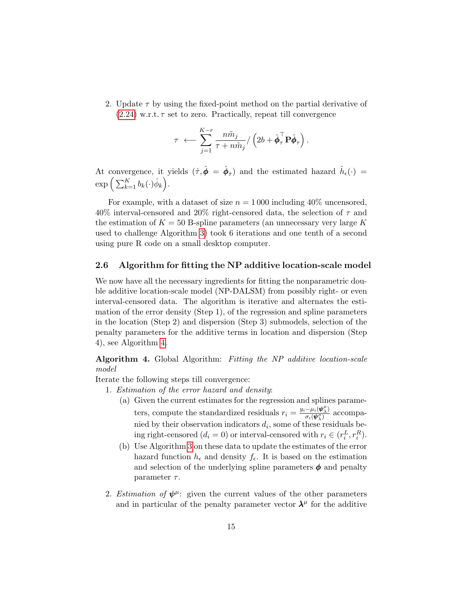2. Update  $\tau$  by using the fixed-point method on the partial derivative of  $(2.24)$  $(2.24)$  w.r.t.  $\tau$  set to zero. Practically, repeat till convergence

$$
\tau \;\longleftarrow \sum_{j=1}^{K-r} \frac{n \tilde{m}_j}{\tau+n \tilde{m}_j} / \left(2 b + \hat{\boldsymbol{\phi}}_\tau^\top \mathbf{P} \hat{\boldsymbol{\phi}}_\tau \right).
$$

At convergence, it yields  $(\hat{\tau}, \hat{\phi} = \hat{\phi}_{\hat{\tau}})$  and the estimated hazard  $\hat{h}_{\epsilon}(\cdot)$  =  $\exp\Big(\sum_{k=1}^K b_k(\cdot) \hat \phi_k\Big).$ 

For example, with a dataset of size  $n = 1000$  including 40% uncensored,  $40\%$  interval-censored and  $20\%$  right-censored data, the selection of  $\tau$  and the estimation of  $K = 50$  B-spline parameters (an unnecessary very large K used to challenge Algorithm [3\)](#page-13-2) took 6 iterations and one tenth of a second using pure R code on a small desktop computer.

#### <span id="page-14-1"></span>2.6 Algorithm for fitting the NP additive location-scale model

We now have all the necessary ingredients for fitting the nonparametric double additive location-scale model (NP-DALSM) from possibly right- or even interval-censored data. The algorithm is iterative and alternates the estimation of the error density (Step 1), of the regression and spline parameters in the location (Step 2) and dispersion (Step 3) submodels, selection of the penalty parameters for the additive terms in location and dispersion (Step 4), see Algorithm [4.](#page-14-0)

<span id="page-14-0"></span>Algorithm 4. Global Algorithm: Fitting the NP additive location-scale model

Iterate the following steps till convergence:

- 1. Estimation of the error hazard and density:
	- (a) Given the current estimates for the regression and splines parameters, compute the standardized residuals  $r_i = \frac{y_i - \mu_i(\psi_\lambda^\mu)}{\sigma_i(\psi_\lambda^\mu)}$  $\frac{-\mu_i(\psi_\lambda)}{\sigma_i(\psi_\lambda^{\sigma})}$  accompanied by their observation indicators  $d_i$ , some of these residuals being right-censored  $(d_i = 0)$  or interval-censored with  $r_i \in (r_i^L, r_i^R)$ .
	- (b) Use Algorithm [3](#page-13-2) on these data to update the estimates of the error hazard function  $h_{\epsilon}$  and density  $f_{\epsilon}$ . It is based on the estimation and selection of the underlying spline parameters  $\phi$  and penalty parameter  $\tau$ .
- 2. Estimation of  $\psi^{\mu}$ : given the current values of the other parameters and in particular of the penalty parameter vector  $\lambda^{\mu}$  for the additive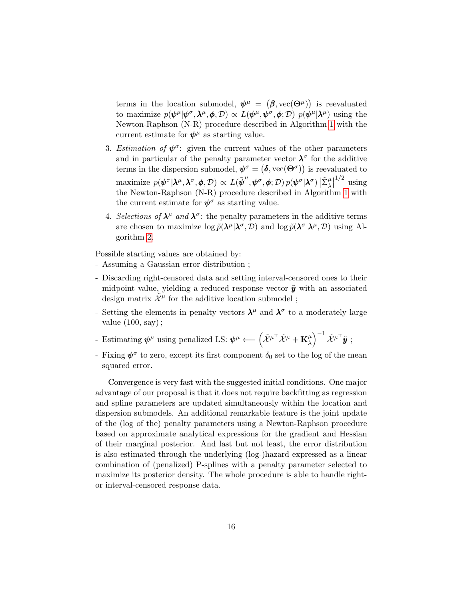terms in the location submodel,  $\psi^{\mu} = (\beta, \text{vec}(\Theta^{\mu}))$  is reevaluated to maximize  $p(\psi^{\mu}|\psi^{\sigma},\lambda^{\mu},\phi,\mathcal{D}) \propto L(\psi^{\mu},\psi^{\sigma},\phi;\mathcal{D}) p(\psi^{\mu}|\lambda^{\mu})$  using the Newton-Raphson (N-R) procedure described in Algorithm [1](#page-6-0) with the current estimate for  $\psi^{\mu}$  as starting value.

- 3. Estimation of  $\psi^{\sigma}$ : given the current values of the other parameters and in particular of the penalty parameter vector  $\lambda^{\sigma}$  for the additive terms in the dispersion submodel,  $\boldsymbol{\psi}^{\sigma} = (\boldsymbol{\delta}, \text{vec}(\boldsymbol{\Theta}^{\sigma}))$  is reevaluated to  $\begin{split} \text{maximize} \,\, & \, p(\pmb{\psi}^\sigma|\pmb{\lambda}^\mu,\pmb{\lambda}^\sigma,\pmb{\phi},\mathcal{D}) \, \propto \, L(\tilde{\pmb{\psi}}^\mu,\pmb{\psi}^\sigma,\pmb{\phi};\mathcal{D}) \, p(\pmb{\psi}^\sigma|\pmb{\lambda}^\sigma) \, \big| \tilde{\Sigma}^\mu_\lambda \big| \end{split}$  $\frac{1}{2}$  using the Newton-Raphson (N-R) procedure described in Algorithm [1](#page-6-0) with the current estimate for  $\psi^{\sigma}$  as starting value.
- 4. Selections of  $\lambda^{\mu}$  and  $\lambda^{\sigma}$ : the penalty parameters in the additive terms are chosen to maximize  $\log \tilde{p}(\lambda^{\mu}|\lambda^{\sigma}, \mathcal{D})$  and  $\log \tilde{p}(\lambda^{\sigma}|\lambda^{\mu}, \mathcal{D})$  using Algorithm [2.](#page-9-1)

Possible starting values are obtained by:

- Assuming a Gaussian error distribution ;
- Discarding right-censored data and setting interval-censored ones to their midpoint value, yielding a reduced response vector  $\tilde{y}$  with an associated design matrix  $\tilde{\mathcal{X}}^{\mu}$  for the additive location submodel;
- Setting the elements in penalty vectors  $\lambda^{\mu}$  and  $\lambda^{\sigma}$  to a moderately large value  $(100, \text{say})$ ;
- Fig.  $\psi^{\mu}$  using penalized LS:  $\psi^{\mu} \longleftarrow (\tilde{X}^{\mu\top} \tilde{X}^{\mu} + \mathbf{K}_{\lambda}^{\mu})$  $\left(\begin{smallmatrix} \mu\ \lambda \end{smallmatrix}\right)^{-1}\tilde{\mathcal{X}}^{\mu\top}\tilde{\bm{y}} \; ;$
- Fixing  $\psi^{\sigma}$  to zero, except its first component  $\delta_0$  set to the log of the mean squared error.

Convergence is very fast with the suggested initial conditions. One major advantage of our proposal is that it does not require backfitting as regression and spline parameters are updated simultaneously within the location and dispersion submodels. An additional remarkable feature is the joint update of the (log of the) penalty parameters using a Newton-Raphson procedure based on approximate analytical expressions for the gradient and Hessian of their marginal posterior. And last but not least, the error distribution is also estimated through the underlying (log-)hazard expressed as a linear combination of (penalized) P-splines with a penalty parameter selected to maximize its posterior density. The whole procedure is able to handle rightor interval-censored response data.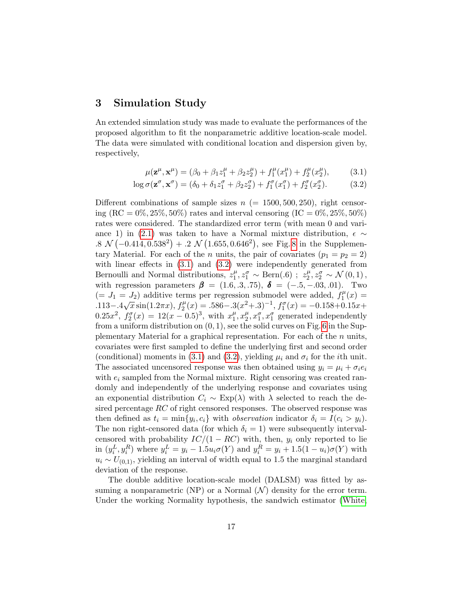### <span id="page-16-0"></span>3 Simulation Study

An extended simulation study was made to evaluate the performances of the proposed algorithm to fit the nonparametric additive location-scale model. The data were simulated with conditional location and dispersion given by, respectively,

<span id="page-16-2"></span><span id="page-16-1"></span>
$$
\mu(\mathbf{z}^{\mu}, \mathbf{x}^{\mu}) = (\beta_0 + \beta_1 z_1^{\mu} + \beta_2 z_2^{\mu}) + f_1^{\mu}(x_1^{\mu}) + f_2^{\mu}(x_2^{\mu}),
$$
 (3.1)

$$
\log \sigma(\mathbf{z}^{\sigma}, \mathbf{x}^{\sigma}) = (\delta_0 + \delta_1 z_1^{\sigma} + \beta_2 z_2^{\sigma}) + f_1^{\sigma}(x_1^{\sigma}) + f_2^{\sigma}(x_2^{\sigma}).
$$
 (3.2)

Different combinations of sample sizes  $n (= 1500, 500, 250)$ , right censoring  $(RC = 0\%, 25\%, 50\%)$  rates and interval censoring  $(IC = 0\%, 25\%, 50\%)$ rates were considered. The standardized error term (with mean 0 and vari-ance 1) in [\(2.1\)](#page-2-1) was taken to have a Normal mixture distribution,  $\epsilon \sim$  $.8 \mathcal{N}(-0.414, 0.538^2) + .2 \mathcal{N}(1.655, 0.646^2)$ , see Fig. [8](#page-37-0) in the Supplementary Material. For each of the *n* units, the pair of covariates  $(p_1 = p_2 = 2)$ with linear effects in  $(3.1)$  and  $(3.2)$  were independently generated from Bernoulli and Normal distributions,  $z_1^{\mu}$  $j_1^{\mu}, z_1^{\sigma} \sim \text{Bern}(.6)$ ;  $z_2^{\mu}$  $_{2}^{\mu}, z_{2}^{\sigma} \sim \mathcal{N}(0, 1),$ with regression parameters  $\beta = (1.6, .3, .75), \delta = (-.5, -.03, .01).$  Two  $(= J_1 = J_2)$  additive terms per regression submodel were added,  $f_1^{\mu}$  $j_1^{\mu}(x) =$  $(− 31 − 32)$  additive term<br>  $.113 - .4\sqrt{x} \sin(1.2πx), f_2^{\mu}$  $J_2^{\mu}(x) = .586 - .3(x^2 + .3)^{-1}, f_1^{\sigma}(x) = -0.158 + 0.15x +$  $0.25x^2$ ,  $f_2^{\sigma}(x) = 12(x - 0.5)^3$ , with  $x_1^{\mu}$  $_{1}^{\mu},x_{2}^{\mu}$  $x_2^{\mu}, x_1^{\sigma}, x_1^{\sigma}$  generated independently from a uniform distribution on  $(0, 1)$ , see the solid curves on Fig. [6](#page-35-0) in the Supplementary Material for a graphical representation. For each of the n units, covariates were first sampled to define the underlying first and second order (conditional) moments in [\(3.1\)](#page-16-1) and [\(3.2\)](#page-16-2), yielding  $\mu_i$  and  $\sigma_i$  for the *i*th unit. The associated uncensored response was then obtained using  $y_i = \mu_i + \sigma_i e_i$ with  $e_i$  sampled from the Normal mixture. Right censoring was created randomly and independently of the underlying response and covariates using an exponential distribution  $C_i \sim \text{Exp}(\lambda)$  with  $\lambda$  selected to reach the desired percentage RC of right censored responses. The observed response was then defined as  $t_i = \min\{y_i, c_i\}$  with *observation* indicator  $\delta_i = I(c_i > y_i)$ . The non right-censored data (for which  $\delta_i = 1$ ) were subsequently intervalcensored with probability  $IC/(1 - RC)$  with, then,  $y_i$  only reported to lie in  $(y_i^L, y_i^R)$  where  $y_i^L = y_i - 1.5u_i\sigma(Y)$  and  $y_i^R = y_i + 1.5(1 - u_i)\sigma(Y)$  with  $u_i \sim U_{(0,1)}$ , yielding an interval of width equal to 1.5 the marginal standard deviation of the response.

The double additive location-scale model (DALSM) was fitted by assuming a nonparametric (NP) or a Normal  $(\mathcal{N})$  density for the error term. Under the working Normality hypothesis, the sandwich estimator [\(White,](#page-28-7)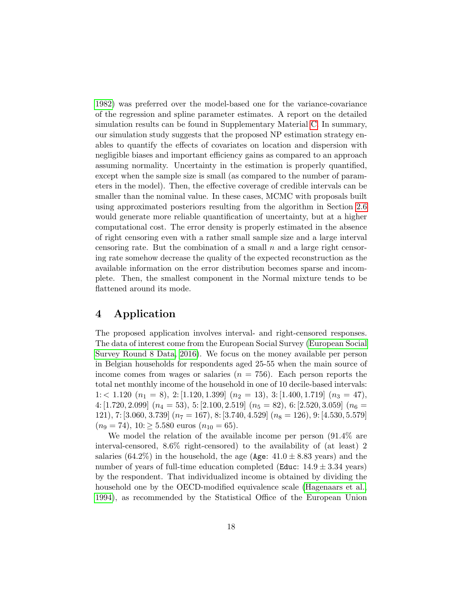[1982\)](#page-28-7) was preferred over the model-based one for the variance-covariance of the regression and spline parameter estimates. A report on the detailed simulation results can be found in Supplementary Material [C.](#page-24-0) In summary, our simulation study suggests that the proposed NP estimation strategy enables to quantify the effects of covariates on location and dispersion with negligible biases and important efficiency gains as compared to an approach assuming normality. Uncertainty in the estimation is properly quantified, except when the sample size is small (as compared to the number of parameters in the model). Then, the effective coverage of credible intervals can be smaller than the nominal value. In these cases, MCMC with proposals built using approximated posteriors resulting from the algorithm in Section [2.6](#page-14-1) would generate more reliable quantification of uncertainty, but at a higher computational cost. The error density is properly estimated in the absence of right censoring even with a rather small sample size and a large interval censoring rate. But the combination of a small  $n$  and a large right censoring rate somehow decrease the quality of the expected reconstruction as the available information on the error distribution becomes sparse and incomplete. Then, the smallest component in the Normal mixture tends to be flattened around its mode.

### <span id="page-17-0"></span>4 Application

The proposed application involves interval- and right-censored responses. The data of interest come from the European Social Survey [\(European Social](#page-26-8) [Survey Round 8 Data, 2016\)](#page-26-8). We focus on the money available per person in Belgian households for respondents aged 25-55 when the main source of income comes from wages or salaries  $(n = 756)$ . Each person reports the total net monthly income of the household in one of 10 decile-based intervals:  $1:$  < 1.120  $(n_1 = 8), 2: [1.120, 1.399]$   $(n_2 = 13), 3: [1.400, 1.719]$   $(n_3 = 47),$ 4: [1.720, 2.099]  $(n_4 = 53)$ , 5: [2.100, 2.519]  $(n_5 = 82)$ , 6: [2.520, 3.059]  $(n_6 = 12.520, 12.520)$ 121), 7: [3.060, 3.739]  $(n_7 = 167)$ , 8: [3.740, 4.529]  $(n_8 = 126)$ , 9: [4.530, 5.579]  $(n_9 = 74), 10 \ge 5.580$  euros  $(n_{10} = 65).$ 

We model the relation of the available income per person (91.4% are interval-censored, 8.6% right-censored) to the availability of (at least) 2 salaries  $(64.2\%)$  in the household, the age (Age:  $41.0 \pm 8.83$  years) and the number of years of full-time education completed (Educ:  $14.9 \pm 3.34$  years) by the respondent. That individualized income is obtained by dividing the household one by the OECD-modified equivalence scale [\(Hagenaars et al.,](#page-26-9) [1994\)](#page-26-9), as recommended by the Statistical Office of the European Union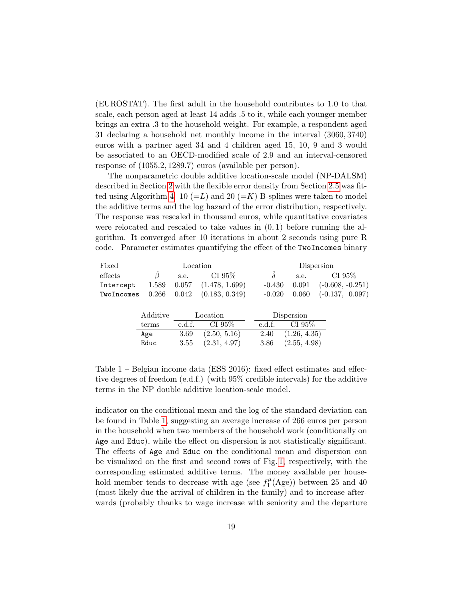(EUROSTAT). The first adult in the household contributes to 1.0 to that scale, each person aged at least 14 adds .5 to it, while each younger member brings an extra .3 to the household weight. For example, a respondent aged 31 declaring a household net monthly income in the interval (3060, 3740) euros with a partner aged 34 and 4 children aged 15, 10, 9 and 3 would be associated to an OECD-modified scale of 2.9 and an interval-censored response of (1055.2, 1289.7) euros (available per person).

The nonparametric double additive location-scale model (NP-DALSM) described in Section [2](#page-2-0) with the flexible error density from Section [2.5](#page-9-0) was fit-ted using Algorithm [4:](#page-14-0) 10 (=L) and 20 (=K) B-splines were taken to model the additive terms and the log hazard of the error distribution, respectively. The response was rescaled in thousand euros, while quantitative covariates were relocated and rescaled to take values in  $(0, 1)$  before running the algorithm. It converged after 10 iterations in about 2 seconds using pure R code. Parameter estimates quantifying the effect of the TwoIncomes binary

<span id="page-18-0"></span>

| Fixed      |          | Location |                |          |              | Dispersion |           |                    |
|------------|----------|----------|----------------|----------|--------------|------------|-----------|--------------------|
| effects    |          | s.e.     | CI 95%         |          | s.e.         |            | CI $95\%$ |                    |
| Intercept  | 1.589    | 0.057    | (1.478, 1.699) | $-0.430$ | 0.091        |            |           | $(-0.608, -0.251)$ |
| TwoIncomes | 0.266    | 0.042    | (0.183, 0.349) | $-0.020$ | 0.060        |            |           | $(-0.137, 0.097)$  |
|            |          |          |                |          |              |            |           |                    |
|            | Additive |          | Location       |          | Dispersion   |            |           |                    |
|            | terms    | e.d.f.   | CI $95\%$      | e.d.f.   | CI $95\%$    |            |           |                    |
|            | Age      | 3.69     | (2.50, 5.16)   | 2.40     | (1.26, 4.35) |            |           |                    |
|            | Educ     | 3.55     | (2.31, 4.97)   | 3.86     | (2.55, 4.98) |            |           |                    |
|            |          |          |                |          |              |            |           |                    |

Table 1 – Belgian income data (ESS 2016): fixed effect estimates and effective degrees of freedom (e.d.f.) (with 95% credible intervals) for the additive terms in the NP double additive location-scale model.

indicator on the conditional mean and the log of the standard deviation can be found in Table [1,](#page-18-0) suggesting an average increase of 266 euros per person in the household when two members of the household work (conditionally on Age and Educ), while the effect on dispersion is not statistically significant. The effects of Age and Educ on the conditional mean and dispersion can be visualized on the first and second rows of Fig. [1,](#page-19-0) respectively, with the corresponding estimated additive terms. The money available per household member tends to decrease with age (see  $f_1^{\mu}$ )  $t_1^{\mu}$ (Age)) between 25 and 40 (most likely due the arrival of children in the family) and to increase afterwards (probably thanks to wage increase with seniority and the departure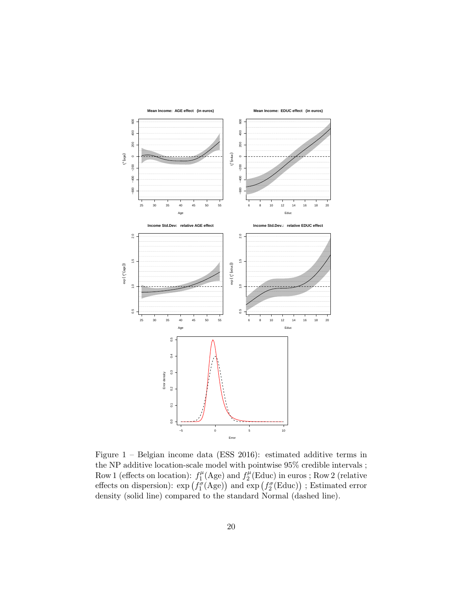<span id="page-19-0"></span>

Figure 1 – Belgian income data (ESS 2016): estimated additive terms in the NP additive location-scale model with pointwise 95% credible intervals ; Row 1 (effects on location):  $f_1^{\mu}$  $f_1^{\mu}$ (Age) and  $f_2^{\mu}$  $\chi_2^{\mu}(\text{Educ})$  in euros ; Row 2 (relative effects on dispersion):  $\exp(f_1^{\sigma}(\text{Age}))$  and  $\exp(f_2^{\sigma}(\text{Educ}))$  ; Estimated error density (solid line) compared to the standard Normal (dashed line).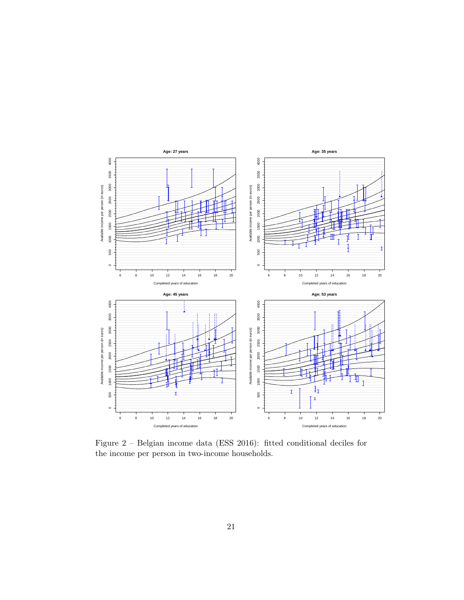<span id="page-20-0"></span>

Figure 2 – Belgian income data (ESS 2016): fitted conditional deciles for the income per person in two-income households.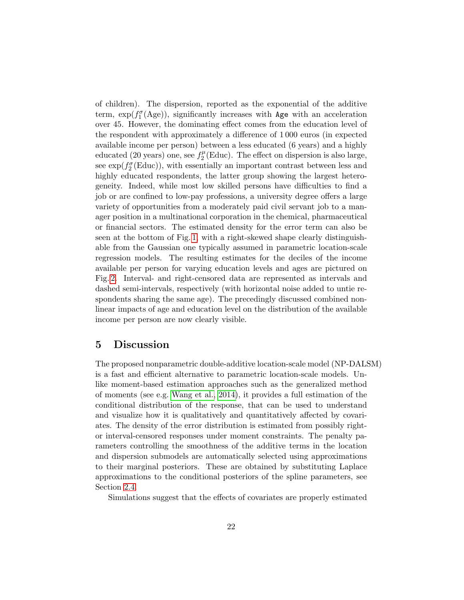of children). The dispersion, reported as the exponential of the additive term,  $\exp(f_1^{\sigma}(\text{Age}))$ , significantly increases with Age with an acceleration over 45. However, the dominating effect comes from the education level of the respondent with approximately a difference of 1 000 euros (in expected available income per person) between a less educated (6 years) and a highly educated (20 years) one, see  $f_2^{\mu}$  $2^{\mu}$ (Educ). The effect on dispersion is also large, see  $\exp(f_2^{\sigma}(\text{Educ}))$ , with essentially an important contrast between less and highly educated respondents, the latter group showing the largest heterogeneity. Indeed, while most low skilled persons have difficulties to find a job or are confined to low-pay professions, a university degree offers a large variety of opportunities from a moderately paid civil servant job to a manager position in a multinational corporation in the chemical, pharmaceutical or financial sectors. The estimated density for the error term can also be seen at the bottom of Fig. [1,](#page-19-0) with a right-skewed shape clearly distinguishable from the Gaussian one typically assumed in parametric location-scale regression models. The resulting estimates for the deciles of the income available per person for varying education levels and ages are pictured on Fig. [2.](#page-20-0) Interval- and right-censored data are represented as intervals and dashed semi-intervals, respectively (with horizontal noise added to untie respondents sharing the same age). The precedingly discussed combined nonlinear impacts of age and education level on the distribution of the available income per person are now clearly visible.

### <span id="page-21-0"></span>5 Discussion

The proposed nonparametric double-additive location-scale model (NP-DALSM) is a fast and efficient alternative to parametric location-scale models. Unlike moment-based estimation approaches such as the generalized method of moments (see e.g. [Wang et al., 2014\)](#page-28-8), it provides a full estimation of the conditional distribution of the response, that can be used to understand and visualize how it is qualitatively and quantitatively affected by covariates. The density of the error distribution is estimated from possibly rightor interval-censored responses under moment constraints. The penalty parameters controlling the smoothness of the additive terms in the location and dispersion submodels are automatically selected using approximations to their marginal posteriors. These are obtained by substituting Laplace approximations to the conditional posteriors of the spline parameters, see Section [2.4.](#page-7-0)

Simulations suggest that the effects of covariates are properly estimated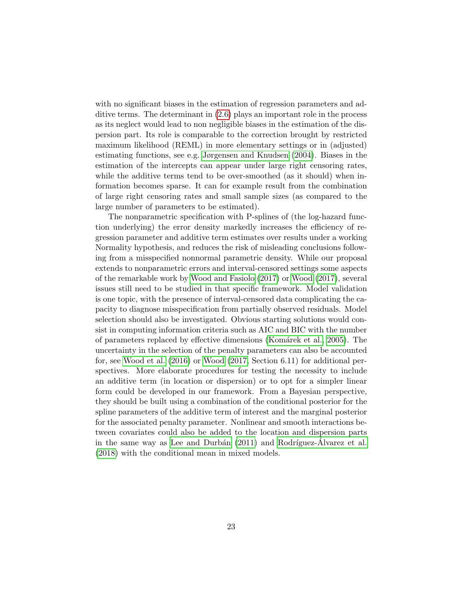with no significant biases in the estimation of regression parameters and additive terms. The determinant in [\(2.6\)](#page-5-1) plays an important role in the process as its neglect would lead to non negligible biases in the estimation of the dispersion part. Its role is comparable to the correction brought by restricted maximum likelihood (REML) in more elementary settings or in (adjusted) estimating functions, see e.g. [Jørgensen and Knudsen](#page-27-10) [\(2004\)](#page-27-10). Biases in the estimation of the intercepts can appear under large right censoring rates, while the additive terms tend to be over-smoothed (as it should) when information becomes sparse. It can for example result from the combination of large right censoring rates and small sample sizes (as compared to the large number of parameters to be estimated).

The nonparametric specification with P-splines of (the log-hazard function underlying) the error density markedly increases the efficiency of regression parameter and additive term estimates over results under a working Normality hypothesis, and reduces the risk of misleading conclusions following from a misspecified nonnormal parametric density. While our proposal extends to nonparametric errors and interval-censored settings some aspects of the remarkable work by [Wood and Fasiolo](#page-28-6) [\(2017\)](#page-28-6) or [Wood](#page-28-1) [\(2017\)](#page-28-1), several issues still need to be studied in that specific framework. Model validation is one topic, with the presence of interval-censored data complicating the capacity to diagnose misspecification from partially observed residuals. Model selection should also be investigated. Obvious starting solutions would consist in computing information criteria such as AIC and BIC with the number of parameters replaced by effective dimensions [\(Kom´arek et al., 2005\)](#page-27-11). The uncertainty in the selection of the penalty parameters can also be accounted for, see [Wood et al.](#page-28-9) [\(2016\)](#page-28-9) or [Wood](#page-28-1) [\(2017,](#page-28-1) Section 6.11) for additional perspectives. More elaborate procedures for testing the necessity to include an additive term (in location or dispersion) or to opt for a simpler linear form could be developed in our framework. From a Bayesian perspective, they should be built using a combination of the conditional posterior for the spline parameters of the additive term of interest and the marginal posterior for the associated penalty parameter. Nonlinear and smooth interactions between covariates could also be added to the location and dispersion parts in the same way as Lee and Durbán  $(2011)$  and Rodríguez-Alvarez et al. [\(2018\)](#page-28-10) with the conditional mean in mixed models.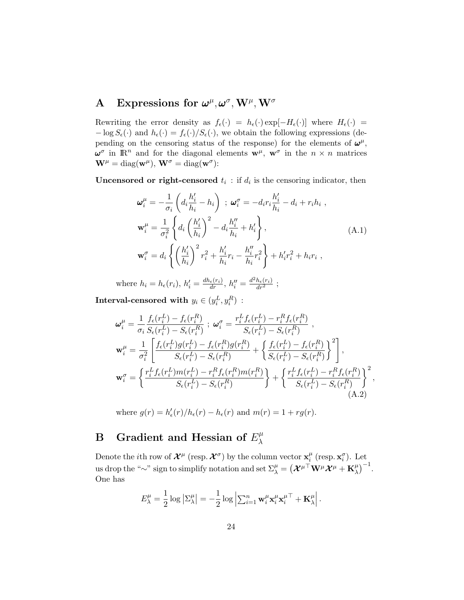## <span id="page-23-0"></span>A Expressions for  $\boldsymbol{\omega}^{\mu}, \boldsymbol{\omega}^{\sigma}, \mathbf{W}^{\mu}, \mathbf{W}^{\sigma}$

Rewriting the error density as  $f_{\epsilon}(\cdot) = h_{\epsilon}(\cdot) \exp[-H_{\epsilon}(\cdot)]$  where  $H_{\epsilon}(\cdot)$  =  $-\log S_{\epsilon}(\cdot)$  and  $h_{\epsilon}(\cdot) = f_{\epsilon}(\cdot)/S_{\epsilon}(\cdot)$ , we obtain the following expressions (depending on the censoring status of the response) for the elements of  $\omega^{\mu}$ ,  $\boldsymbol{\omega}^{\sigma}$  in  $\mathbb{R}^n$  and for the diagonal elements  $\mathbf{w}^{\mu}$ ,  $\mathbf{w}^{\sigma}$  in the  $n \times n$  matrices  $\mathbf{W}^{\mu} = \text{diag}(\mathbf{w}^{\mu}), \mathbf{W}^{\sigma} = \text{diag}(\mathbf{w}^{\sigma})$ :

**Uncensored or right-censored**  $t_i$ : if  $d_i$  is the censoring indicator, then

<span id="page-23-2"></span>
$$
\omega_i^{\mu} = -\frac{1}{\sigma_i} \left( d_i \frac{h'_i}{h_i} - h_i \right) ; \omega_i^{\sigma} = -d_i r_i \frac{h'_i}{h_i} - d_i + r_i h_i ,
$$
  

$$
\mathbf{w}_i^{\mu} = \frac{1}{\sigma_i^2} \left\{ d_i \left( \frac{h'_i}{h_i} \right)^2 - d_i \frac{h''_i}{h_i} + h'_i \right\},
$$
  

$$
\mathbf{w}_i^{\sigma} = d_i \left\{ \left( \frac{h'_i}{h_i} \right)^2 r_i^2 + \frac{h'_i}{h_i} r_i - \frac{h''_i}{h_i} r_i^2 \right\} + h'_i r_i^2 + h_i r_i ,
$$
 (A.1)

where  $h_i = h_{\epsilon}(r_i)$ ,  $h'_i = \frac{dh_{\epsilon}(r_i)}{dr}, h''_i = \frac{d^2h_{\epsilon}(r_i)}{dr^2}$ ;

 $\textbf{Interval-censored with}\,\,y_i \in (y_i^L, y_i^R)\,\,:\,\,$ 

$$
\begin{split}\n\boldsymbol{\omega}_{i}^{\mu} &= \frac{1}{\sigma_{i}} \frac{f_{\epsilon}(r_{i}^{L}) - f_{\epsilon}(r_{i}^{R})}{S_{\epsilon}(r_{i}^{L}) - S_{\epsilon}(r_{i}^{R})}; \ \boldsymbol{\omega}_{i}^{\sigma} = \frac{r_{i}^{L} f_{\epsilon}(r_{i}^{L}) - r_{i}^{R} f_{\epsilon}(r_{i}^{R})}{S_{\epsilon}(r_{i}^{L}) - S_{\epsilon}(r_{i}^{R})}, \\
\boldsymbol{\omega}_{i}^{\mu} &= \frac{1}{\sigma_{i}^{2}} \left[ \frac{f_{\epsilon}(r_{i}^{L})g(r_{i}^{L}) - f_{\epsilon}(r_{i}^{R})g(r_{i}^{R})}{S_{\epsilon}(r_{i}^{L}) - S_{\epsilon}(r_{i}^{R})} + \left\{ \frac{f_{\epsilon}(r_{i}^{L}) - f_{\epsilon}(r_{i}^{R})}{S_{\epsilon}(r_{i}^{L}) - S_{\epsilon}(r_{i}^{R})} \right\}^{2} \right], \\
\boldsymbol{\omega}_{i}^{\sigma} &= \left\{ \frac{r_{i}^{L} f_{\epsilon}(r_{i}^{L})m(r_{i}^{L}) - r_{i}^{R} f_{\epsilon}(r_{i}^{R})m(r_{i}^{R})}{S_{\epsilon}(r_{i}^{L}) - S_{\epsilon}(r_{i}^{R})} \right\} + \left\{ \frac{r_{i}^{L} f_{\epsilon}(r_{i}^{L}) - r_{i}^{R} f_{\epsilon}(r_{i}^{R})}{S_{\epsilon}(r_{i}^{L}) - S_{\epsilon}(r_{i}^{R})} \right\}^{2}, \\
\end{split} \tag{A.2}
$$

where  $g(r) = h'_{\epsilon}(r)/h_{\epsilon}(r) - h_{\epsilon}(r)$  and  $m(r) = 1 + rg(r)$ .

#### <span id="page-23-1"></span>B Gradient and Hessian of  $E_{\lambda}^{\mu}$ λ

Denote the *i*th row of  $\mathcal{X}^{\mu}$  (resp.  $\mathcal{X}^{\sigma}$ ) by the column vector  $\mathbf{x}_{i}^{\mu}$  $_i^{\mu}$  (resp.  $\mathbf{x}_i^{\sigma}$ ). Let us drop the "∼" sign to simplify notation and set  $\Sigma_\lambda^\mu=\big(\boldsymbol{\mathcal{X}}^{\mu\top}\mathbf{W}^\mu\boldsymbol{\mathcal{X}}^\mu+\mathbf{K}_\lambda^\mu\big)$  $\binom{\mu}{\lambda}^{-1}$ . One has

<span id="page-23-3"></span>
$$
E^{\mu}_{\lambda} = \frac{1}{2} \log \left| \Sigma^{\mu}_{\lambda} \right| = -\frac{1}{2} \log \left| \sum_{i=1}^{n} \mathbf{w}_{i}^{\mu} \mathbf{x}_{i}^{\mu} \mathbf{x}_{i}^{\mu \top} + \mathbf{K}_{\lambda}^{\mu} \right|.
$$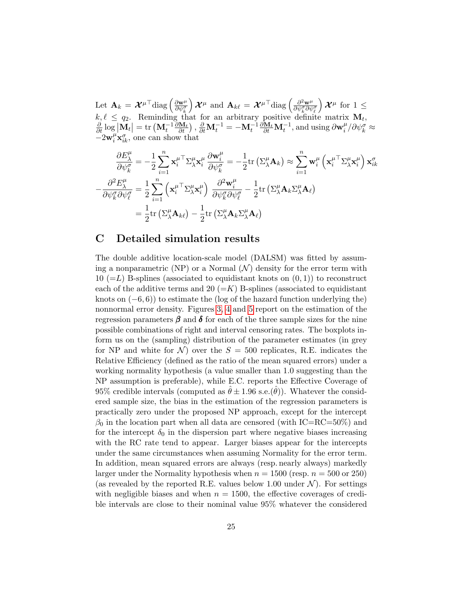Let  $\mathbf{A}_k = \mathcal{X}^{\mu \top} \text{diag} \left( \frac{\partial \mathbf{w}^{\mu}}{\partial w^{\sigma}} \right)$  $\overline{\partial\psi^{\sigma}_k}$  $\left( \mathcal{X}^{\mu} \text{ and } \mathbf{A}_{k\ell} = \mathcal{X}^{\mu \top} \text{diag} \left( \frac{\partial^2 \mathbf{w}^{\mu}}{\partial \psi^{\sigma} \partial \psi^{\mu}} \right) \right)$  $\overline{\partial\psi^{\sigma}_{k}\partial\psi^{\sigma}_{\ell}}$  $\mathcal{X}^{\mu}$  for  $1 \leq$  $k, \ell \leq q_2$ . Reminding that for an arbitrary positive definite matrix  $\mathbf{M}_t$ ,  $\frac{\partial}{\partial t} \log |\mathbf{M}_t| = \text{tr} \left( \mathbf{M}_t^{-1} \frac{\partial \mathbf{M}_t}{\partial t} \right), \frac{\partial}{\partial t} \mathbf{M}_t^{-1} = -\mathbf{M}_t^{-1} \frac{\partial \mathbf{M}_t}{\partial t} \mathbf{M}_t^{-1}, \text{and using } \partial \mathbf{w}_i^{\mu}$  $\int_{i}^{\mu}/\partial \psi_{k}^{\sigma} \approx$  $-2\mathbf{w}_i^{\mu} \mathbf{x}_{ik}^{\sigma}$ , one can show that

$$
\frac{\partial E^{\mu}_{\lambda}}{\partial \psi^{\sigma}_{k}} = -\frac{1}{2} \sum_{i=1}^{n} \mathbf{x}_{i}^{\mu} \nabla_{\lambda}^{\mu} \mathbf{x}_{i}^{\mu} \frac{\partial \mathbf{w}_{i}^{\mu}}{\partial \psi^{\sigma}_{k}} = -\frac{1}{2} \text{tr} \left( \Sigma^{\mu}_{\lambda} \mathbf{A}_{k} \right) \approx \sum_{i=1}^{n} \mathbf{w}_{i}^{\mu} \left( \mathbf{x}_{i}^{\mu} \nabla_{\lambda}^{\mu} \mathbf{x}_{i}^{\mu} \right) \mathbf{x}_{ik}^{\sigma} \n- \frac{\partial^{2} E^{\mu}_{\lambda}}{\partial \psi^{\sigma}_{k} \partial \psi^{\sigma}_{\ell}} = \frac{1}{2} \sum_{i=1}^{n} \left( \mathbf{x}_{i}^{\mu} \nabla_{\lambda}^{\mu} \mathbf{x}_{i}^{\mu} \right) \frac{\partial^{2} \mathbf{w}_{i}^{\mu}}{\partial \psi^{\sigma}_{k} \partial \psi^{\sigma}_{\ell}} - \frac{1}{2} \text{tr} \left( \Sigma^{\mu}_{\lambda} \mathbf{A}_{k} \Sigma^{\mu}_{\lambda} \mathbf{A}_{\ell} \right) \n= \frac{1}{2} \text{tr} \left( \Sigma^{\mu}_{\lambda} \mathbf{A}_{k\ell} \right) - \frac{1}{2} \text{tr} \left( \Sigma^{\mu}_{\lambda} \mathbf{A}_{k} \Sigma^{\mu}_{\lambda} \mathbf{A}_{\ell} \right)
$$

### <span id="page-24-0"></span>C Detailed simulation results

The double additive location-scale model (DALSM) was fitted by assuming a nonparametric (NP) or a Normal  $(\mathcal{N})$  density for the error term with 10 ( $=L$ ) B-splines (associated to equidistant knots on  $(0, 1)$ ) to reconstruct each of the additive terms and 20  $(=K)$  B-splines (associated to equidistant knots on  $(-6, 6)$ ) to estimate the (log of the hazard function underlying the) nonnormal error density. Figures [3,](#page-29-0) [4](#page-30-0) and [5](#page-31-0) report on the estimation of the regression parameters  $\beta$  and  $\delta$  for each of the three sample sizes for the nine possible combinations of right and interval censoring rates. The boxplots inform us on the (sampling) distribution of the parameter estimates (in grey for NP and white for  $\mathcal{N}$  over the  $S = 500$  replicates, R.E. indicates the Relative Efficiency (defined as the ratio of the mean squared errors) under a working normality hypothesis (a value smaller than 1.0 suggesting than the NP assumption is preferable), while E.C. reports the Effective Coverage of 95% credible intervals (computed as  $\hat{\theta} \pm 1.96$  s.e. $(\hat{\theta})$ ). Whatever the considered sample size, the bias in the estimation of the regression parameters is practically zero under the proposed NP approach, except for the intercept  $\beta_0$  in the location part when all data are censored (with IC=RC=50%) and for the intercept  $\delta_0$  in the dispersion part where negative biases increasing with the RC rate tend to appear. Larger biases appear for the intercepts under the same circumstances when assuming Normality for the error term. In addition, mean squared errors are always (resp. nearly always) markedly larger under the Normality hypothesis when  $n = 1500$  (resp.  $n = 500$  or 250) (as revealed by the reported R.E. values below 1.00 under  $\mathcal{N}$ ). For settings with negligible biases and when  $n = 1500$ , the effective coverages of credible intervals are close to their nominal value 95% whatever the considered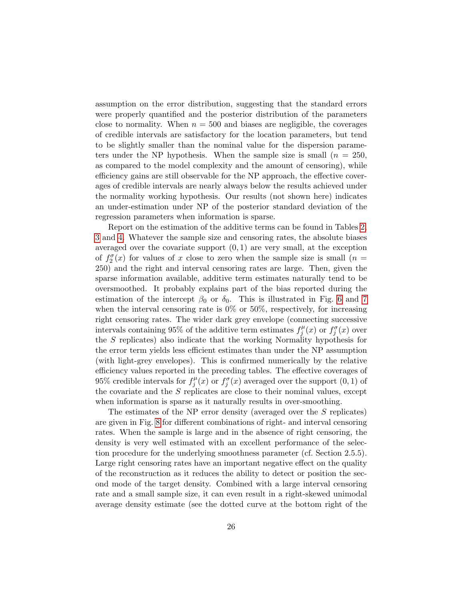assumption on the error distribution, suggesting that the standard errors were properly quantified and the posterior distribution of the parameters close to normality. When  $n = 500$  and biases are negligible, the coverages of credible intervals are satisfactory for the location parameters, but tend to be slightly smaller than the nominal value for the dispersion parameters under the NP hypothesis. When the sample size is small  $(n = 250,$ as compared to the model complexity and the amount of censoring), while efficiency gains are still observable for the NP approach, the effective coverages of credible intervals are nearly always below the results achieved under the normality working hypothesis. Our results (not shown here) indicates an under-estimation under NP of the posterior standard deviation of the regression parameters when information is sparse.

Report on the estimation of the additive terms can be found in Tables [2,](#page-32-0) [3](#page-33-0) and [4.](#page-34-0) Whatever the sample size and censoring rates, the absolute biases averaged over the covariate support  $(0, 1)$  are very small, at the exception of  $f_2^{\sigma}(x)$  for values of x close to zero when the sample size is small  $(n =$ 250) and the right and interval censoring rates are large. Then, given the sparse information available, additive term estimates naturally tend to be oversmoothed. It probably explains part of the bias reported during the estimation of the intercept  $\beta_0$  or  $\delta_0$ . This is illustrated in Fig. [6](#page-35-0) and [7](#page-36-0) when the interval censoring rate is  $0\%$  or  $50\%$ , respectively, for increasing right censoring rates. The wider dark grey envelope (connecting successive intervals containing 95% of the additive term estimates  $f_i^{\mu}$  $f_j^{\mu}(x)$  or  $f_j^{\sigma}(x)$  over the S replicates) also indicate that the working Normality hypothesis for the error term yields less efficient estimates than under the NP assumption (with light-grey envelopes). This is confirmed numerically by the relative efficiency values reported in the preceding tables. The effective coverages of 95% credible intervals for  $f_i^{\mu}$  $f_j^{\mu}(x)$  or  $f_j^{\sigma}(x)$  averaged over the support  $(0,1)$  of the covariate and the  $S$  replicates are close to their nominal values, except when information is sparse as it naturally results in over-smoothing.

The estimates of the NP error density (averaged over the S replicates) are given in Fig. [8](#page-37-0) for different combinations of right- and interval censoring rates. When the sample is large and in the absence of right censoring, the density is very well estimated with an excellent performance of the selection procedure for the underlying smoothness parameter (cf. Section 2.5.5). Large right censoring rates have an important negative effect on the quality of the reconstruction as it reduces the ability to detect or position the second mode of the target density. Combined with a large interval censoring rate and a small sample size, it can even result in a right-skewed unimodal average density estimate (see the dotted curve at the bottom right of the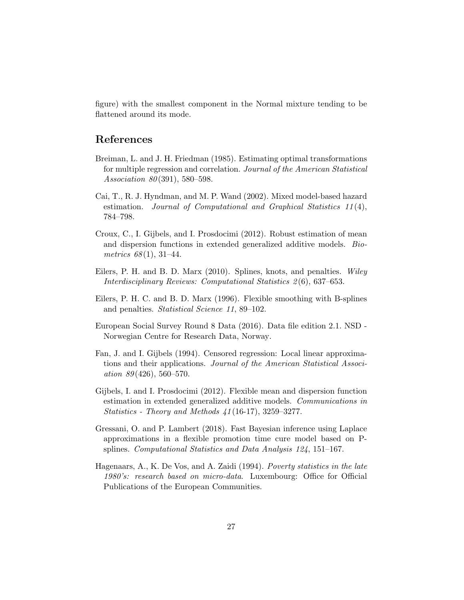figure) with the smallest component in the Normal mixture tending to be flattened around its mode.

### References

- <span id="page-26-0"></span>Breiman, L. and J. H. Friedman (1985). Estimating optimal transformations for multiple regression and correlation. Journal of the American Statistical Association 80(391), 580-598.
- <span id="page-26-7"></span>Cai, T., R. J. Hyndman, and M. P. Wand (2002). Mixed model-based hazard estimation. Journal of Computational and Graphical Statistics 11(4), 784–798.
- <span id="page-26-2"></span>Croux, C., I. Gijbels, and I. Prosdocimi (2012). Robust estimation of mean and dispersion functions in extended generalized additive models. Biometrics  $68(1), 31-44.$
- <span id="page-26-5"></span>Eilers, P. H. and B. D. Marx (2010). Splines, knots, and penalties. Wiley Interdisciplinary Reviews: Computational Statistics 2 (6), 637–653.
- <span id="page-26-4"></span>Eilers, P. H. C. and B. D. Marx (1996). Flexible smoothing with B-splines and penalties. Statistical Science 11, 89–102.
- <span id="page-26-8"></span>European Social Survey Round 8 Data (2016). Data file edition 2.1. NSD - Norwegian Centre for Research Data, Norway.
- <span id="page-26-3"></span>Fan, J. and I. Gijbels (1994). Censored regression: Local linear approximations and their applications. Journal of the American Statistical Association  $89(426)$ , 560–570.
- <span id="page-26-1"></span>Gijbels, I. and I. Prosdocimi (2012). Flexible mean and dispersion function estimation in extended generalized additive models. Communications in Statistics - Theory and Methods 41 (16-17), 3259–3277.
- <span id="page-26-6"></span>Gressani, O. and P. Lambert (2018). Fast Bayesian inference using Laplace approximations in a flexible promotion time cure model based on Psplines. Computational Statistics and Data Analysis 124, 151–167.
- <span id="page-26-9"></span>Hagenaars, A., K. De Vos, and A. Zaidi (1994). Poverty statistics in the late 1980's: research based on micro-data. Luxembourg: Office for Official Publications of the European Communities.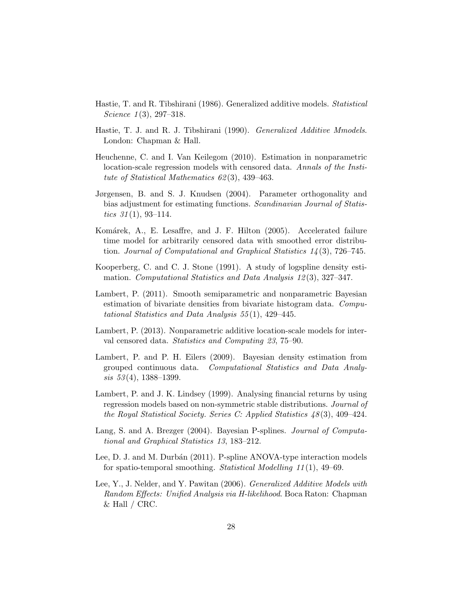- <span id="page-27-0"></span>Hastie, T. and R. Tibshirani (1986). Generalized additive models. Statistical Science  $1(3)$ , 297–318.
- <span id="page-27-1"></span>Hastie, T. J. and R. J. Tibshirani (1990). Generalized Additive Mmodels. London: Chapman & Hall.
- <span id="page-27-4"></span>Heuchenne, C. and I. Van Keilegom (2010). Estimation in nonparametric location-scale regression models with censored data. Annals of the Institute of Statistical Mathematics 62 (3), 439–463.
- <span id="page-27-10"></span>Jørgensen, B. and S. J. Knudsen (2004). Parameter orthogonality and bias adjustment for estimating functions. Scandinavian Journal of Statistics  $31(1)$ , 93-114.
- <span id="page-27-11"></span>Komárek, A., E. Lesaffre, and J. F. Hilton (2005). Accelerated failure time model for arbitrarily censored data with smoothed error distribution. Journal of Computational and Graphical Statistics 14 (3), 726–745.
- <span id="page-27-7"></span>Kooperberg, C. and C. J. Stone (1991). A study of logspline density estimation. Computational Statistics and Data Analysis 12 (3), 327–347.
- <span id="page-27-9"></span>Lambert, P. (2011). Smooth semiparametric and nonparametric Bayesian estimation of bivariate densities from bivariate histogram data. Computational Statistics and Data Analysis 55 (1), 429–445.
- <span id="page-27-6"></span>Lambert, P. (2013). Nonparametric additive location-scale models for interval censored data. Statistics and Computing 23, 75–90.
- <span id="page-27-8"></span>Lambert, P. and P. H. Eilers (2009). Bayesian density estimation from grouped continuous data. Computational Statistics and Data Analy $sis\ 53(4),\ 1388-1399.$
- <span id="page-27-2"></span>Lambert, P. and J. K. Lindsey (1999). Analysing financial returns by using regression models based on non-symmetric stable distributions. Journal of the Royal Statistical Society. Series C: Applied Statistics  $48(3)$ , 409–424.
- <span id="page-27-5"></span>Lang, S. and A. Brezger (2004). Bayesian P-splines. Journal of Computational and Graphical Statistics 13, 183–212.
- <span id="page-27-12"></span>Lee, D. J. and M. Durbán (2011). P-spline ANOVA-type interaction models for spatio-temporal smoothing. Statistical Modelling 11 (1), 49–69.
- <span id="page-27-3"></span>Lee, Y., J. Nelder, and Y. Pawitan (2006). Generalized Additive Models with Random Effects: Unified Analysis via H-likelihood. Boca Raton: Chapman  $&$  Hall / CRC.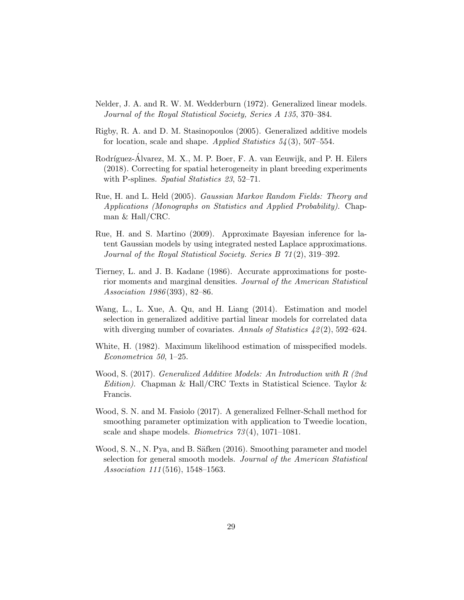- <span id="page-28-0"></span>Nelder, J. A. and R. W. M. Wedderburn (1972). Generalized linear models. Journal of the Royal Statistical Society, Series A 135, 370–384.
- <span id="page-28-2"></span>Rigby, R. A. and D. M. Stasinopoulos (2005). Generalized additive models for location, scale and shape. Applied Statistics  $54(3)$ , 507–554.
- <span id="page-28-10"></span>Rodríguez-Alvarez, M. X., M. P. Boer, F. A. van Eeuwijk, and P. H. Eilers (2018). Correcting for spatial heterogeneity in plant breeding experiments with P-splines. Spatial Statistics 23, 52-71.
- <span id="page-28-3"></span>Rue, H. and L. Held (2005). Gaussian Markov Random Fields: Theory and Applications (Monographs on Statistics and Applied Probability). Chapman & Hall/CRC.
- <span id="page-28-4"></span>Rue, H. and S. Martino (2009). Approximate Bayesian inference for latent Gaussian models by using integrated nested Laplace approximations. Journal of the Royal Statistical Society. Series B 71 (2), 319–392.
- <span id="page-28-5"></span>Tierney, L. and J. B. Kadane (1986). Accurate approximations for posterior moments and marginal densities. Journal of the American Statistical Association 1986 (393), 82–86.
- <span id="page-28-8"></span>Wang, L., L. Xue, A. Qu, and H. Liang (2014). Estimation and model selection in generalized additive partial linear models for correlated data with diverging number of covariates. Annals of Statistics  $\frac{1}{2}(2)$ , 592–624.
- <span id="page-28-7"></span>White, H. (1982). Maximum likelihood estimation of misspecified models. Econometrica 50, 1–25.
- <span id="page-28-1"></span>Wood, S. (2017). Generalized Additive Models: An Introduction with R (2nd Edition). Chapman & Hall/CRC Texts in Statistical Science. Taylor & Francis.
- <span id="page-28-6"></span>Wood, S. N. and M. Fasiolo (2017). A generalized Fellner-Schall method for smoothing parameter optimization with application to Tweedie location, scale and shape models. Biometrics 73 (4), 1071–1081.
- <span id="page-28-9"></span>Wood, S. N., N. Pya, and B. Säfken (2016). Smoothing parameter and model selection for general smooth models. Journal of the American Statistical Association 111 (516), 1548–1563.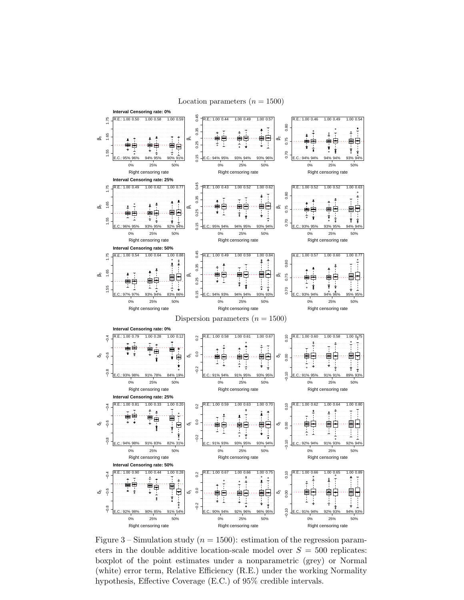<span id="page-29-0"></span>

Figure 3 – Simulation study ( $n = 1500$ ): estimation of the regression parameters in the double additive location-scale model over  $S = 500$  replicates: boxplot of the point estimates under a nonparametric (grey) or Normal (white) error term, Relative Efficiency (R.E.) under the working Normality hypothesis, Effective Coverage (E.C.) of 95% credible intervals.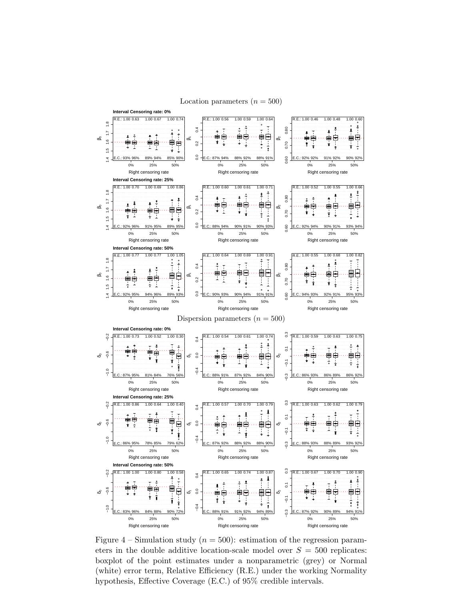

<span id="page-30-0"></span>

Figure 4 – Simulation study ( $n = 500$ ): estimation of the regression parameters in the double additive location-scale model over  $S = 500$  replicates: boxplot of the point estimates under a nonparametric (grey) or Normal (white) error term, Relative Efficiency (R.E.) under the working Normality hypothesis, Effective Coverage (E.C.) of 95% credible intervals.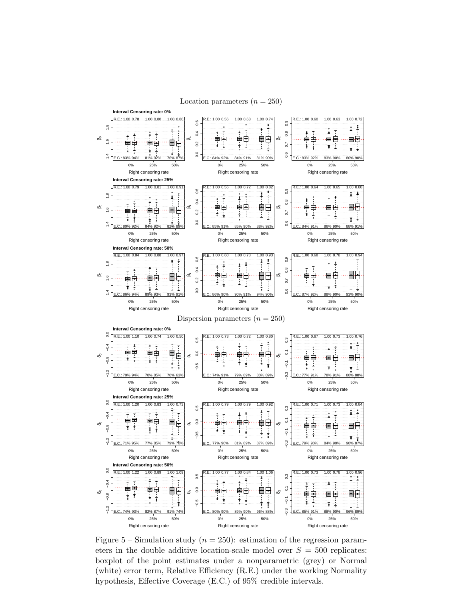<span id="page-31-0"></span>

Figure 5 – Simulation study ( $n = 250$ ): estimation of the regression parameters in the double additive location-scale model over  $S = 500$  replicates: boxplot of the point estimates under a nonparametric (grey) or Normal (white) error term, Relative Efficiency (R.E.) under the working Normality hypothesis, Effective Coverage (E.C.) of 95% credible intervals.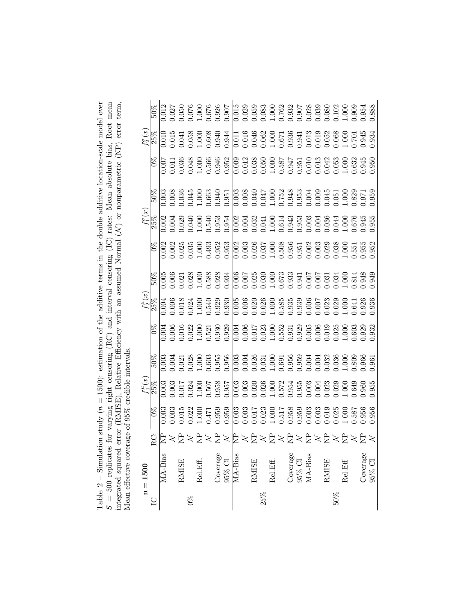<span id="page-32-0"></span>

| n study ( $n = 1500$ ): estimation of the additive terms in the double additive location-scale model over<br>Toble $2 -$ Simulate | for varying right censoring (RC) and interval censoring (IC) rates: Mean absolute bias, Root mean<br>م<br>ما<br>$\frac{1}{\pi}$ | rror (RMISE), Relative Efficiency with an assumed Normal (N) or nonparametric (NP) error term, | age of 95% credible intervals. |
|-----------------------------------------------------------------------------------------------------------------------------------|---------------------------------------------------------------------------------------------------------------------------------|------------------------------------------------------------------------------------------------|--------------------------------|

|         | $n = 1500$      |                             |                                                                                                                                                                                                                                                                                                                                                                                                                          |  |                                                                                                                                                                                                                                                                                                                                                                                                        |                                                                                                                                                                                                                                                                                               |                                                                                                                                                                                                                                                                                                                                                                                                                                     |  |                                                                                                                                                                                                                                                                                                                                                                                                              |  |
|---------|-----------------|-----------------------------|--------------------------------------------------------------------------------------------------------------------------------------------------------------------------------------------------------------------------------------------------------------------------------------------------------------------------------------------------------------------------------------------------------------------------|--|--------------------------------------------------------------------------------------------------------------------------------------------------------------------------------------------------------------------------------------------------------------------------------------------------------------------------------------------------------------------------------------------------------|-----------------------------------------------------------------------------------------------------------------------------------------------------------------------------------------------------------------------------------------------------------------------------------------------|-------------------------------------------------------------------------------------------------------------------------------------------------------------------------------------------------------------------------------------------------------------------------------------------------------------------------------------------------------------------------------------------------------------------------------------|--|--------------------------------------------------------------------------------------------------------------------------------------------------------------------------------------------------------------------------------------------------------------------------------------------------------------------------------------------------------------------------------------------------------------|--|
|         |                 |                             |                                                                                                                                                                                                                                                                                                                                                                                                                          |  |                                                                                                                                                                                                                                                                                                                                                                                                        |                                                                                                                                                                                                                                                                                               |                                                                                                                                                                                                                                                                                                                                                                                                                                     |  |                                                                                                                                                                                                                                                                                                                                                                                                              |  |
|         | MA-Bias         | Qβ>ä≍å>ä>β≥å≥å>ä>ä>β≥å≥ä>ä> | $\begin{array}{l} \mathcal{L}_{1}^{4} \mathcal{L}_{2}^{4} \mathcal{S}_{3}^{4} \mathcal{S}_{4}^{4} \mathcal{S}_{5}^{4} \mathcal{S}_{6}^{4} \mathcal{S}_{7}^{4} \mathcal{S}_{8}^{4} \mathcal{S}_{9}^{4} \mathcal{S}_{9}^{4} \mathcal{S}_{1}^{4} \mathcal{S}_{1}^{4} \mathcal{S}_{2}^{4} \mathcal{S}_{3}^{4} \mathcal{S}_{4}^{4} \mathcal{S}_{5}^{4} \mathcal{S}_{6}^{4} \mathcal{S}_{7}^{4} \mathcal{S}_{8}^{4} \mathcal{$ |  | $\begin{array}{l} \begin{array}{l} \frac{1}{2} \frac{1}{2} \frac{1}{2} \frac{1}{2} \frac{1}{2} \frac{1}{2} \frac{1}{2} \frac{1}{2} \frac{1}{2} \frac{1}{2} \frac{1}{2} \frac{1}{2} \frac{1}{2} \frac{1}{2} \frac{1}{2} \frac{1}{2} \frac{1}{2} \frac{1}{2} \frac{1}{2} \frac{1}{2} \frac{1}{2} \frac{1}{2} \frac{1}{2} \frac{1}{2} \frac{1}{2} \frac{1}{2} \frac{1}{2} \frac{1}{2} \frac{1}{2} \frac{$ | $\begin{array}{l} 5005 \\ 5005 \\ 0.0005 \\ 0.0005 \\ 0.0005 \\ 0.0005 \\ 0.0005 \\ 0.0005 \\ 0.0005 \\ 0.0005 \\ 0.0005 \\ 0.0005 \\ 0.0005 \\ 0.0005 \\ 0.0005 \\ 0.0005 \\ 0.0005 \\ 0.0005 \\ 0.0005 \\ 0.0005 \\ 0.0005 \\ 0.0005 \\ 0.0005 \\ 0.0005 \\ 0.0005 \\ 0.0005 \\ 0.0005 \\ $ | $\begin{array}{r} \begin{array}{r} \text{f1} \\ \text{18} \\ \text{18} \\ \text{19} \\ \text{19} \\ \text{19} \\ \text{10} \\ \text{11} \\ \text{12} \\ \text{13} \\ \text{14} \\ \text{15} \\ \text{16} \\ \text{17} \\ \text{19} \\ \text{19} \\ \text{19} \\ \text{19} \\ \text{19} \\ \text{19} \\ \text{19} \\ \text{19} \\ \text{19} \\ \text{10} \\ \text{10} \\ \text{11} \\ \text{13} \\ \text{14} \\ \text{15} \\ \text{$ |  | $\begin{array}{l} \mathcal{L}_{2}^{2}\mathbb{R}^{(3)}_{\mathcal{S}}\mathbb{S}^{(2)}_{\mathcal{S}}\mathbb{S}^{(3)}_{\mathcal{S}}\mathbb{S}^{(4)}_{\mathcal{S}}\mathbb{S}^{(5)}_{\mathcal{S}}\mathbb{S}^{(6)}_{\mathcal{S}}\mathbb{S}^{(6)}_{\mathcal{S}}\mathbb{S}^{(6)}_{\mathcal{S}}\mathbb{S}^{(6)}_{\mathcal{S}}\mathbb{S}^{(6)}_{\mathcal{S}}\mathbb{S}^{(6)}_{\mathcal{S}}\mathbb{S}^{(6)}_{\mathcal{S$ |  |
|         |                 |                             |                                                                                                                                                                                                                                                                                                                                                                                                                          |  |                                                                                                                                                                                                                                                                                                                                                                                                        |                                                                                                                                                                                                                                                                                               |                                                                                                                                                                                                                                                                                                                                                                                                                                     |  |                                                                                                                                                                                                                                                                                                                                                                                                              |  |
|         | <b>RMISE</b>    |                             |                                                                                                                                                                                                                                                                                                                                                                                                                          |  |                                                                                                                                                                                                                                                                                                                                                                                                        |                                                                                                                                                                                                                                                                                               |                                                                                                                                                                                                                                                                                                                                                                                                                                     |  |                                                                                                                                                                                                                                                                                                                                                                                                              |  |
| $0\%$   |                 |                             |                                                                                                                                                                                                                                                                                                                                                                                                                          |  |                                                                                                                                                                                                                                                                                                                                                                                                        |                                                                                                                                                                                                                                                                                               |                                                                                                                                                                                                                                                                                                                                                                                                                                     |  |                                                                                                                                                                                                                                                                                                                                                                                                              |  |
|         | Rel.Eff.        |                             |                                                                                                                                                                                                                                                                                                                                                                                                                          |  |                                                                                                                                                                                                                                                                                                                                                                                                        |                                                                                                                                                                                                                                                                                               |                                                                                                                                                                                                                                                                                                                                                                                                                                     |  |                                                                                                                                                                                                                                                                                                                                                                                                              |  |
|         |                 |                             |                                                                                                                                                                                                                                                                                                                                                                                                                          |  |                                                                                                                                                                                                                                                                                                                                                                                                        |                                                                                                                                                                                                                                                                                               |                                                                                                                                                                                                                                                                                                                                                                                                                                     |  |                                                                                                                                                                                                                                                                                                                                                                                                              |  |
|         | Joverage        |                             |                                                                                                                                                                                                                                                                                                                                                                                                                          |  |                                                                                                                                                                                                                                                                                                                                                                                                        |                                                                                                                                                                                                                                                                                               |                                                                                                                                                                                                                                                                                                                                                                                                                                     |  |                                                                                                                                                                                                                                                                                                                                                                                                              |  |
|         | 95% CI          |                             |                                                                                                                                                                                                                                                                                                                                                                                                                          |  |                                                                                                                                                                                                                                                                                                                                                                                                        |                                                                                                                                                                                                                                                                                               |                                                                                                                                                                                                                                                                                                                                                                                                                                     |  |                                                                                                                                                                                                                                                                                                                                                                                                              |  |
|         | MA-Bias         |                             |                                                                                                                                                                                                                                                                                                                                                                                                                          |  |                                                                                                                                                                                                                                                                                                                                                                                                        |                                                                                                                                                                                                                                                                                               |                                                                                                                                                                                                                                                                                                                                                                                                                                     |  |                                                                                                                                                                                                                                                                                                                                                                                                              |  |
|         |                 |                             |                                                                                                                                                                                                                                                                                                                                                                                                                          |  |                                                                                                                                                                                                                                                                                                                                                                                                        |                                                                                                                                                                                                                                                                                               |                                                                                                                                                                                                                                                                                                                                                                                                                                     |  |                                                                                                                                                                                                                                                                                                                                                                                                              |  |
|         | <b>RMISE</b>    |                             |                                                                                                                                                                                                                                                                                                                                                                                                                          |  |                                                                                                                                                                                                                                                                                                                                                                                                        |                                                                                                                                                                                                                                                                                               |                                                                                                                                                                                                                                                                                                                                                                                                                                     |  |                                                                                                                                                                                                                                                                                                                                                                                                              |  |
| 25%     |                 |                             |                                                                                                                                                                                                                                                                                                                                                                                                                          |  |                                                                                                                                                                                                                                                                                                                                                                                                        |                                                                                                                                                                                                                                                                                               |                                                                                                                                                                                                                                                                                                                                                                                                                                     |  |                                                                                                                                                                                                                                                                                                                                                                                                              |  |
|         | Rel.Eff.        |                             |                                                                                                                                                                                                                                                                                                                                                                                                                          |  |                                                                                                                                                                                                                                                                                                                                                                                                        |                                                                                                                                                                                                                                                                                               |                                                                                                                                                                                                                                                                                                                                                                                                                                     |  |                                                                                                                                                                                                                                                                                                                                                                                                              |  |
|         |                 |                             |                                                                                                                                                                                                                                                                                                                                                                                                                          |  |                                                                                                                                                                                                                                                                                                                                                                                                        |                                                                                                                                                                                                                                                                                               |                                                                                                                                                                                                                                                                                                                                                                                                                                     |  |                                                                                                                                                                                                                                                                                                                                                                                                              |  |
|         | <b>Coverage</b> |                             |                                                                                                                                                                                                                                                                                                                                                                                                                          |  |                                                                                                                                                                                                                                                                                                                                                                                                        |                                                                                                                                                                                                                                                                                               |                                                                                                                                                                                                                                                                                                                                                                                                                                     |  |                                                                                                                                                                                                                                                                                                                                                                                                              |  |
|         | $95\%$ CI       |                             |                                                                                                                                                                                                                                                                                                                                                                                                                          |  |                                                                                                                                                                                                                                                                                                                                                                                                        |                                                                                                                                                                                                                                                                                               |                                                                                                                                                                                                                                                                                                                                                                                                                                     |  |                                                                                                                                                                                                                                                                                                                                                                                                              |  |
|         | MA-Bias         |                             |                                                                                                                                                                                                                                                                                                                                                                                                                          |  |                                                                                                                                                                                                                                                                                                                                                                                                        |                                                                                                                                                                                                                                                                                               |                                                                                                                                                                                                                                                                                                                                                                                                                                     |  |                                                                                                                                                                                                                                                                                                                                                                                                              |  |
|         |                 |                             |                                                                                                                                                                                                                                                                                                                                                                                                                          |  |                                                                                                                                                                                                                                                                                                                                                                                                        |                                                                                                                                                                                                                                                                                               |                                                                                                                                                                                                                                                                                                                                                                                                                                     |  |                                                                                                                                                                                                                                                                                                                                                                                                              |  |
|         | <b>RMISE</b>    |                             |                                                                                                                                                                                                                                                                                                                                                                                                                          |  |                                                                                                                                                                                                                                                                                                                                                                                                        |                                                                                                                                                                                                                                                                                               |                                                                                                                                                                                                                                                                                                                                                                                                                                     |  |                                                                                                                                                                                                                                                                                                                                                                                                              |  |
| $200\%$ |                 |                             |                                                                                                                                                                                                                                                                                                                                                                                                                          |  |                                                                                                                                                                                                                                                                                                                                                                                                        |                                                                                                                                                                                                                                                                                               |                                                                                                                                                                                                                                                                                                                                                                                                                                     |  |                                                                                                                                                                                                                                                                                                                                                                                                              |  |
|         | Rel.Eff.        |                             |                                                                                                                                                                                                                                                                                                                                                                                                                          |  |                                                                                                                                                                                                                                                                                                                                                                                                        |                                                                                                                                                                                                                                                                                               |                                                                                                                                                                                                                                                                                                                                                                                                                                     |  |                                                                                                                                                                                                                                                                                                                                                                                                              |  |
|         |                 |                             |                                                                                                                                                                                                                                                                                                                                                                                                                          |  |                                                                                                                                                                                                                                                                                                                                                                                                        |                                                                                                                                                                                                                                                                                               |                                                                                                                                                                                                                                                                                                                                                                                                                                     |  |                                                                                                                                                                                                                                                                                                                                                                                                              |  |
|         | Coverage        |                             |                                                                                                                                                                                                                                                                                                                                                                                                                          |  |                                                                                                                                                                                                                                                                                                                                                                                                        |                                                                                                                                                                                                                                                                                               |                                                                                                                                                                                                                                                                                                                                                                                                                                     |  |                                                                                                                                                                                                                                                                                                                                                                                                              |  |
|         | 95% CI          |                             |                                                                                                                                                                                                                                                                                                                                                                                                                          |  |                                                                                                                                                                                                                                                                                                                                                                                                        |                                                                                                                                                                                                                                                                                               |                                                                                                                                                                                                                                                                                                                                                                                                                                     |  |                                                                                                                                                                                                                                                                                                                                                                                                              |  |
|         |                 |                             |                                                                                                                                                                                                                                                                                                                                                                                                                          |  |                                                                                                                                                                                                                                                                                                                                                                                                        |                                                                                                                                                                                                                                                                                               |                                                                                                                                                                                                                                                                                                                                                                                                                                     |  |                                                                                                                                                                                                                                                                                                                                                                                                              |  |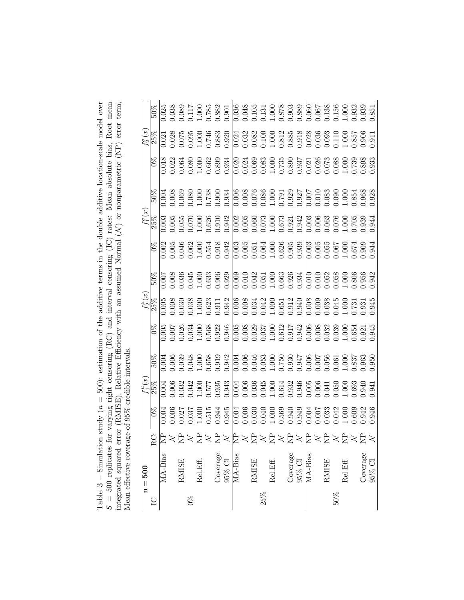| ion study ( $n = 500$ ): estimation of the additive terms in the double additive location-scale model over<br>$n = 3 - 1$ |
|---------------------------------------------------------------------------------------------------------------------------|
| for varying right censoring (RC) and interval censoring (IC) rates: Mean absolute bias, Root mean<br>$\frac{1}{2}$        |
| error (RMISE), Relative Efficiency with an assumed Normal $(\mathcal{N})$ or nonparametric (NP) error term,               |
| rage of 95% credible intervals.                                                                                           |

<span id="page-33-0"></span>

|                | $n = 500$                                |                |                                                                                                                                                                                                                                                                                                     |                                                                                                                                                                                                                                                                                                                                   |                                                                                                                                                                                                                                                                                                     |                                                                                                                                                                                                                                                                                                     |                                                                                                                                                                                                                                                                                             |        |                                                                                                                                                                                                                                                                                               |                                                                                                                                                                                                                                                                              |                                                                                                                                                                                                                                                                                                     |                             |                                                                                                                                                                                                                                                                                                     |                                                                                               |
|----------------|------------------------------------------|----------------|-----------------------------------------------------------------------------------------------------------------------------------------------------------------------------------------------------------------------------------------------------------------------------------------------------|-----------------------------------------------------------------------------------------------------------------------------------------------------------------------------------------------------------------------------------------------------------------------------------------------------------------------------------|-----------------------------------------------------------------------------------------------------------------------------------------------------------------------------------------------------------------------------------------------------------------------------------------------------|-----------------------------------------------------------------------------------------------------------------------------------------------------------------------------------------------------------------------------------------------------------------------------------------------------|---------------------------------------------------------------------------------------------------------------------------------------------------------------------------------------------------------------------------------------------------------------------------------------------|--------|-----------------------------------------------------------------------------------------------------------------------------------------------------------------------------------------------------------------------------------------------------------------------------------------------|------------------------------------------------------------------------------------------------------------------------------------------------------------------------------------------------------------------------------------------------------------------------------|-----------------------------------------------------------------------------------------------------------------------------------------------------------------------------------------------------------------------------------------------------------------------------------------------------|-----------------------------|-----------------------------------------------------------------------------------------------------------------------------------------------------------------------------------------------------------------------------------------------------------------------------------------------------|-----------------------------------------------------------------------------------------------|
| $\overline{C}$ |                                          | $_{\rm RC}$    | $\frac{8}{2}$                                                                                                                                                                                                                                                                                       | $\frac{\overline{f^{\mu}_{1}}(x)}{25\%}$                                                                                                                                                                                                                                                                                          |                                                                                                                                                                                                                                                                                                     | $\frac{8}{2}$                                                                                                                                                                                                                                                                                       | $\frac{\overline{f_2^\mu}(x)}{25\%}$                                                                                                                                                                                                                                                        | $50\%$ | $\frac{6}{2}$                                                                                                                                                                                                                                                                                 | $\frac{f_1^{\sigma}}{25\%}$                                                                                                                                                                                                                                                  | $50\%$                                                                                                                                                                                                                                                                                              |                             | $\frac{f_2^{\overline{p}}(x)}{25\%}$                                                                                                                                                                                                                                                                | 200                                                                                           |
|                | MA-Bias                                  |                | 0.004                                                                                                                                                                                                                                                                                               | 0.004                                                                                                                                                                                                                                                                                                                             | 0.004                                                                                                                                                                                                                                                                                               | 0.005                                                                                                                                                                                                                                                                                               | 0.005                                                                                                                                                                                                                                                                                       | 00.C   | 0.002                                                                                                                                                                                                                                                                                         | 0.003                                                                                                                                                                                                                                                                        | 0.004                                                                                                                                                                                                                                                                                               |                             |                                                                                                                                                                                                                                                                                                     | 0.25                                                                                          |
|                |                                          |                | 0.006                                                                                                                                                                                                                                                                                               |                                                                                                                                                                                                                                                                                                                                   |                                                                                                                                                                                                                                                                                                     |                                                                                                                                                                                                                                                                                                     |                                                                                                                                                                                                                                                                                             |        | 0.005                                                                                                                                                                                                                                                                                         |                                                                                                                                                                                                                                                                              |                                                                                                                                                                                                                                                                                                     | $\overline{0.018}$<br>0.022 |                                                                                                                                                                                                                                                                                                     | 0.38                                                                                          |
|                | <b>RMISE</b>                             | 불>불>불>불>       |                                                                                                                                                                                                                                                                                                     | $\begin{array}{c} 0.006 \\ 0.032 \\ 0.042 \\ 1.000 \\ 0.577 \\ 0.935 \\ 0.033 \\ 0.000 \\ 0.033 \\ \end{array}$                                                                                                                                                                                                                   |                                                                                                                                                                                                                                                                                                     |                                                                                                                                                                                                                                                                                                     |                                                                                                                                                                                                                                                                                             |        |                                                                                                                                                                                                                                                                                               |                                                                                                                                                                                                                                                                              |                                                                                                                                                                                                                                                                                                     |                             | $\begin{array}{l} 0.028 \\ 0.075 \\ 0.095 \\ 0.049 \\ 0.083 \\ 0.000 \\ 0.000 \\ 0.000 \\ 0.000 \\ 0.000 \\ 0.000 \\ 0.000 \\ 0.000 \\ 0.000 \\ 0.000 \\ 0.000 \\ 0.000 \\ 0.000 \\ 0.000 \\ 0.000 \\ 0.000 \\ 0.000 \\ 0.000 \\ 0.000 \\ 0.000 \\ 0.000 \\ 0.000 \\ 0.000 \\ 0.000 \\ 0.000 \\ 0.$ |                                                                                               |
| $0\%$          |                                          |                | $\begin{array}{c} 0.027 \\ 0.037 \\ 1.000 \\ 0.515 \\ 0.944 \end{array}$                                                                                                                                                                                                                            |                                                                                                                                                                                                                                                                                                                                   |                                                                                                                                                                                                                                                                                                     |                                                                                                                                                                                                                                                                                                     |                                                                                                                                                                                                                                                                                             |        |                                                                                                                                                                                                                                                                                               |                                                                                                                                                                                                                                                                              |                                                                                                                                                                                                                                                                                                     |                             |                                                                                                                                                                                                                                                                                                     | $\begin{array}{l} 1.089 \\ 1.117 \\ 1.000 \\ 0.785 \\ 0.882 \\ 0.901 \end{array}$             |
|                | Rel.Eff.                                 |                |                                                                                                                                                                                                                                                                                                     |                                                                                                                                                                                                                                                                                                                                   |                                                                                                                                                                                                                                                                                                     |                                                                                                                                                                                                                                                                                                     |                                                                                                                                                                                                                                                                                             |        |                                                                                                                                                                                                                                                                                               |                                                                                                                                                                                                                                                                              |                                                                                                                                                                                                                                                                                                     |                             |                                                                                                                                                                                                                                                                                                     |                                                                                               |
|                |                                          |                |                                                                                                                                                                                                                                                                                                     |                                                                                                                                                                                                                                                                                                                                   |                                                                                                                                                                                                                                                                                                     |                                                                                                                                                                                                                                                                                                     |                                                                                                                                                                                                                                                                                             |        |                                                                                                                                                                                                                                                                                               |                                                                                                                                                                                                                                                                              |                                                                                                                                                                                                                                                                                                     |                             |                                                                                                                                                                                                                                                                                                     |                                                                                               |
|                | Coverage                                 |                |                                                                                                                                                                                                                                                                                                     |                                                                                                                                                                                                                                                                                                                                   |                                                                                                                                                                                                                                                                                                     |                                                                                                                                                                                                                                                                                                     |                                                                                                                                                                                                                                                                                             |        |                                                                                                                                                                                                                                                                                               |                                                                                                                                                                                                                                                                              |                                                                                                                                                                                                                                                                                                     |                             |                                                                                                                                                                                                                                                                                                     |                                                                                               |
|                | $95\%$ CI                                |                | 0.945                                                                                                                                                                                                                                                                                               |                                                                                                                                                                                                                                                                                                                                   |                                                                                                                                                                                                                                                                                                     |                                                                                                                                                                                                                                                                                                     |                                                                                                                                                                                                                                                                                             |        |                                                                                                                                                                                                                                                                                               |                                                                                                                                                                                                                                                                              |                                                                                                                                                                                                                                                                                                     |                             |                                                                                                                                                                                                                                                                                                     |                                                                                               |
|                | MA-Bias                                  |                |                                                                                                                                                                                                                                                                                                     |                                                                                                                                                                                                                                                                                                                                   |                                                                                                                                                                                                                                                                                                     |                                                                                                                                                                                                                                                                                                     |                                                                                                                                                                                                                                                                                             |        |                                                                                                                                                                                                                                                                                               |                                                                                                                                                                                                                                                                              |                                                                                                                                                                                                                                                                                                     |                             |                                                                                                                                                                                                                                                                                                     |                                                                                               |
|                |                                          |                |                                                                                                                                                                                                                                                                                                     |                                                                                                                                                                                                                                                                                                                                   |                                                                                                                                                                                                                                                                                                     |                                                                                                                                                                                                                                                                                                     |                                                                                                                                                                                                                                                                                             |        |                                                                                                                                                                                                                                                                                               |                                                                                                                                                                                                                                                                              |                                                                                                                                                                                                                                                                                                     |                             |                                                                                                                                                                                                                                                                                                     |                                                                                               |
|                | <b>RMISE</b>                             |                |                                                                                                                                                                                                                                                                                                     |                                                                                                                                                                                                                                                                                                                                   |                                                                                                                                                                                                                                                                                                     |                                                                                                                                                                                                                                                                                                     |                                                                                                                                                                                                                                                                                             |        |                                                                                                                                                                                                                                                                                               |                                                                                                                                                                                                                                                                              |                                                                                                                                                                                                                                                                                                     |                             |                                                                                                                                                                                                                                                                                                     |                                                                                               |
| 25%            |                                          |                |                                                                                                                                                                                                                                                                                                     |                                                                                                                                                                                                                                                                                                                                   |                                                                                                                                                                                                                                                                                                     |                                                                                                                                                                                                                                                                                                     |                                                                                                                                                                                                                                                                                             |        |                                                                                                                                                                                                                                                                                               |                                                                                                                                                                                                                                                                              |                                                                                                                                                                                                                                                                                                     |                             |                                                                                                                                                                                                                                                                                                     |                                                                                               |
|                | Rel.Eff.                                 |                |                                                                                                                                                                                                                                                                                                     |                                                                                                                                                                                                                                                                                                                                   |                                                                                                                                                                                                                                                                                                     |                                                                                                                                                                                                                                                                                                     |                                                                                                                                                                                                                                                                                             |        |                                                                                                                                                                                                                                                                                               |                                                                                                                                                                                                                                                                              |                                                                                                                                                                                                                                                                                                     |                             |                                                                                                                                                                                                                                                                                                     |                                                                                               |
|                |                                          | 岸≍岁≍岁≍岁        |                                                                                                                                                                                                                                                                                                     |                                                                                                                                                                                                                                                                                                                                   |                                                                                                                                                                                                                                                                                                     |                                                                                                                                                                                                                                                                                                     |                                                                                                                                                                                                                                                                                             |        |                                                                                                                                                                                                                                                                                               |                                                                                                                                                                                                                                                                              |                                                                                                                                                                                                                                                                                                     |                             |                                                                                                                                                                                                                                                                                                     | $\begin{array}{l} 0.036 \\ 0.048 \\ 0.105 \\ 0.101 \\ 0.101 \\ 0.878 \\ 0.903 \\ \end{array}$ |
|                | Coverage                                 |                |                                                                                                                                                                                                                                                                                                     |                                                                                                                                                                                                                                                                                                                                   |                                                                                                                                                                                                                                                                                                     |                                                                                                                                                                                                                                                                                                     |                                                                                                                                                                                                                                                                                             |        |                                                                                                                                                                                                                                                                                               |                                                                                                                                                                                                                                                                              |                                                                                                                                                                                                                                                                                                     |                             |                                                                                                                                                                                                                                                                                                     |                                                                                               |
|                | $\frac{95\% \text{ CI}}{\text{MA-Bias}}$ |                | $\begin{array}{r} 0.004 \\ 0.006 \\ 0.030 \\ 0.040 \\ 0.050 \\ 0.040 \\ 0.050 \\ 0.040 \\ 0.040 \\ 0.040 \\ 0.040 \\ 0.040 \\ 0.040 \\ 0.040 \\ 0.040 \\ 0.040 \\ 0.040 \\ 0.040 \\ 0.040 \\ 0.040 \\ 0.040 \\ 0.040 \\ 0.040 \\ 0.040 \\ 0.040 \\ 0.040 \\ 0.040 \\ 0.040 \\ 0.040 \\ 0.040 \\ 0.$ | $\begin{array}{r} 0.004 \\ 0.006 \\ 0.036 \\ 0.045 \\ 0.000 \\ 0.001 \\ 0.033 \\ 0.000 \\ 0.000 \\ 0.000 \\ \end{array}$                                                                                                                                                                                                          | $\begin{array}{l} 1.006 \\ 1.030 \\ 1.004 \\ 1.005 \\ 0.048 \\ 0.004 \\ 0.005 \\ 0.006 \\ 0.007 \\ 0.007 \\ 0.008 \\ 0.000 \\ 0.000 \\ 0.000 \\ 0.000 \\ 0.000 \\ 0.000 \\ 0.000 \\ 0.000 \\ 0.000 \\ 0.000 \\ 0.000 \\ 0.000 \\ 0.000 \\ 0.000 \\ 0.000 \\ 0.000 \\ 0.000 \\ 0.000 \\ 0.000 \\ 0.$ | $\begin{array}{l} 1.007 \\ 1.028 \\ 1.034 \\ 1.008 \\ 1.008 \\ 1.009 \\ 0.000 \\ 0.000 \\ 0.000 \\ 0.000 \\ 0.000 \\ 0.000 \\ 0.000 \\ 0.000 \\ 0.000 \\ 0.000 \\ 0.000 \\ 0.000 \\ 0.000 \\ 0.000 \\ 0.000 \\ 0.000 \\ 0.000 \\ 0.000 \\ 0.000 \\ 0.000 \\ 0.000 \\ 0.000 \\ 0.000 \\ 0.000 \\ 0.$ | $\begin{array}{l} 0.008 \\ 0.0308 \\ 0.0308 \\ 0.0310 \\ 0.0311 \\ 0.0311 \\ 0.0300 \\ 0.0000 \\ 0.0000 \\ 0.0000 \\ 0.0000 \\ 0.0000 \\ 0.0000 \\ 0.0000 \\ 0.0000 \\ 0.0000 \\ 0.0000 \\ 0.0000 \\ 0.0000 \\ 0.0000 \\ 0.0000 \\ 0.0000 \\ 0.0000 \\ 0.0000 \\ 0.0000 \\ 0.0000 \\ 0.000$ |        | $\begin{array}{l} 0.046 \\ 0.062 \\ 0.0748 \\ 0.081 \\ 0.0921 \\ 0.0000 \\ 0.0000 \\ 0.0000 \\ 0.0000 \\ 0.0000 \\ 0.0000 \\ 0.0000 \\ 0.0000 \\ 0.0000 \\ 0.0000 \\ 0.0000 \\ 0.0000 \\ 0.0000 \\ 0.0000 \\ 0.0000 \\ 0.0000 \\ 0.0000 \\ 0.0000 \\ 0.0000 \\ 0.0000 \\ 0.0000 \\ 0.0000 \\$ | $\begin{array}{rrrrrr} 1.005 & 0.0000 & 0.0000 \\ 0.0000 & 0.0000 & 0.0000 \\ 0.0000 & 0.0000 & 0.0000 \\ 0.0000 & 0.0000 & 0.0000 \\ 0.0000 & 0.0000 & 0.0000 \\ 0.0000 & 0.0000 & 0.0000 \\ 0.0000 & 0.0000 & 0.0000 \\ 0.0000 & 0.0000 & 0.0000 \\ 0.0000 & 0.0000 & 0.0$ | $\begin{array}{l} 0.008 \\ 0.008 \\ 0.008 \\ 0.009 \\ 0.009 \\ 0.000 \\ 0.000 \\ 0.000 \\ 0.000 \\ 0.000 \\ 0.000 \\ 0.000 \\ 0.000 \\ 0.000 \\ 0.000 \\ 0.000 \\ 0.000 \\ 0.000 \\ 0.000 \\ 0.000 \\ 0.000 \\ 0.000 \\ 0.000 \\ 0.000 \\ 0.000 \\ 0.000 \\ 0.000 \\ 0.000 \\ 0.000 \\ 0.000 \\ 0.$ |                             |                                                                                                                                                                                                                                                                                                     |                                                                                               |
|                |                                          | <b>2×2×2×2</b> |                                                                                                                                                                                                                                                                                                     | $\begin{array}{r} 0.005 \\ -0.006 \\ -0.041 \\ -0.050 \\ -0.000 \\ -0.000 \\ -0.041 \\ -0.000 \\ -0.000 \\ -0.000 \\ -0.000 \\ -0.000 \\ -0.000 \\ -0.000 \\ -0.000 \\ -0.000 \\ -0.000 \\ -0.000 \\ -0.000 \\ -0.000 \\ -0.000 \\ -0.000 \\ -0.000 \\ -0.000 \\ -0.000 \\ -0.000 \\ -0.000 \\ -0.000 \\ -0.000 \\ -0.000 \\ -0.$ |                                                                                                                                                                                                                                                                                                     |                                                                                                                                                                                                                                                                                                     |                                                                                                                                                                                                                                                                                             |        |                                                                                                                                                                                                                                                                                               |                                                                                                                                                                                                                                                                              |                                                                                                                                                                                                                                                                                                     |                             | $\begin{array}{r} 0.028 \\ 0.036 \\ 0.0110 \\ 0.110 \\ 0.857 \\ 0.089 \\ 0.000 \\ \end{array}$                                                                                                                                                                                                      | $\overline{0.060}$                                                                            |
|                |                                          |                |                                                                                                                                                                                                                                                                                                     |                                                                                                                                                                                                                                                                                                                                   |                                                                                                                                                                                                                                                                                                     |                                                                                                                                                                                                                                                                                                     |                                                                                                                                                                                                                                                                                             |        |                                                                                                                                                                                                                                                                                               |                                                                                                                                                                                                                                                                              |                                                                                                                                                                                                                                                                                                     |                             |                                                                                                                                                                                                                                                                                                     | 1.067                                                                                         |
|                | RMISE                                    |                |                                                                                                                                                                                                                                                                                                     |                                                                                                                                                                                                                                                                                                                                   |                                                                                                                                                                                                                                                                                                     |                                                                                                                                                                                                                                                                                                     |                                                                                                                                                                                                                                                                                             |        |                                                                                                                                                                                                                                                                                               |                                                                                                                                                                                                                                                                              |                                                                                                                                                                                                                                                                                                     |                             |                                                                                                                                                                                                                                                                                                     |                                                                                               |
| 50%            |                                          |                |                                                                                                                                                                                                                                                                                                     |                                                                                                                                                                                                                                                                                                                                   |                                                                                                                                                                                                                                                                                                     |                                                                                                                                                                                                                                                                                                     |                                                                                                                                                                                                                                                                                             |        |                                                                                                                                                                                                                                                                                               |                                                                                                                                                                                                                                                                              |                                                                                                                                                                                                                                                                                                     |                             |                                                                                                                                                                                                                                                                                                     |                                                                                               |
|                | Rel.Eff.                                 |                | $\begin{array}{c} 0.007 \\ 0.033 \\ 0.042 \\ 1.000 \\ 0.609 \\ 0.942 \\ \end{array}$                                                                                                                                                                                                                |                                                                                                                                                                                                                                                                                                                                   |                                                                                                                                                                                                                                                                                                     |                                                                                                                                                                                                                                                                                                     |                                                                                                                                                                                                                                                                                             |        |                                                                                                                                                                                                                                                                                               |                                                                                                                                                                                                                                                                              |                                                                                                                                                                                                                                                                                                     |                             |                                                                                                                                                                                                                                                                                                     | 0.138<br>0.156<br>1.000<br>0.932                                                              |
|                |                                          |                |                                                                                                                                                                                                                                                                                                     |                                                                                                                                                                                                                                                                                                                                   |                                                                                                                                                                                                                                                                                                     |                                                                                                                                                                                                                                                                                                     |                                                                                                                                                                                                                                                                                             |        |                                                                                                                                                                                                                                                                                               |                                                                                                                                                                                                                                                                              |                                                                                                                                                                                                                                                                                                     |                             |                                                                                                                                                                                                                                                                                                     |                                                                                               |
|                |                                          |                |                                                                                                                                                                                                                                                                                                     |                                                                                                                                                                                                                                                                                                                                   |                                                                                                                                                                                                                                                                                                     |                                                                                                                                                                                                                                                                                                     |                                                                                                                                                                                                                                                                                             |        |                                                                                                                                                                                                                                                                                               |                                                                                                                                                                                                                                                                              |                                                                                                                                                                                                                                                                                                     |                             |                                                                                                                                                                                                                                                                                                     | 0.339                                                                                         |
|                | Coverage $95\%$ CI                       | $\asymp$       | 946                                                                                                                                                                                                                                                                                                 | 541                                                                                                                                                                                                                                                                                                                               | .950                                                                                                                                                                                                                                                                                                | 1.945                                                                                                                                                                                                                                                                                               | .945                                                                                                                                                                                                                                                                                        | 942    | 0.944                                                                                                                                                                                                                                                                                         |                                                                                                                                                                                                                                                                              | 0.928                                                                                                                                                                                                                                                                                               | .933                        | 0.911                                                                                                                                                                                                                                                                                               | .851                                                                                          |
|                |                                          |                |                                                                                                                                                                                                                                                                                                     |                                                                                                                                                                                                                                                                                                                                   |                                                                                                                                                                                                                                                                                                     |                                                                                                                                                                                                                                                                                                     |                                                                                                                                                                                                                                                                                             |        |                                                                                                                                                                                                                                                                                               |                                                                                                                                                                                                                                                                              |                                                                                                                                                                                                                                                                                                     |                             |                                                                                                                                                                                                                                                                                                     |                                                                                               |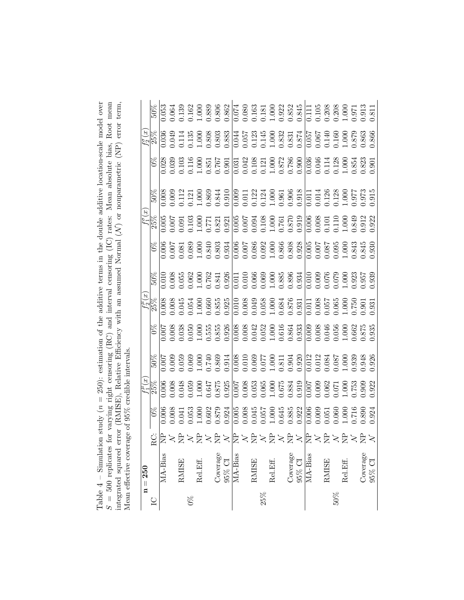<span id="page-34-0"></span>

| n study ( $n = 250$ ): estimation of the additive terms in the double additive location-scale model over | for varying right censoring (RC) and interval censoring (IC) rates: Mean absolute bias, Root mean |                                                                                                                     |                                |
|----------------------------------------------------------------------------------------------------------|---------------------------------------------------------------------------------------------------|---------------------------------------------------------------------------------------------------------------------|--------------------------------|
|                                                                                                          |                                                                                                   |                                                                                                                     |                                |
|                                                                                                          |                                                                                                   |                                                                                                                     |                                |
|                                                                                                          |                                                                                                   |                                                                                                                     |                                |
|                                                                                                          |                                                                                                   |                                                                                                                     |                                |
|                                                                                                          |                                                                                                   |                                                                                                                     |                                |
|                                                                                                          |                                                                                                   |                                                                                                                     |                                |
|                                                                                                          |                                                                                                   |                                                                                                                     |                                |
|                                                                                                          |                                                                                                   |                                                                                                                     |                                |
|                                                                                                          |                                                                                                   |                                                                                                                     | age of 95% credible intervals. |
|                                                                                                          |                                                                                                   |                                                                                                                     |                                |
|                                                                                                          |                                                                                                   |                                                                                                                     |                                |
|                                                                                                          |                                                                                                   |                                                                                                                     |                                |
| $Table 4 - Simulati$                                                                                     |                                                                                                   | ntegrated squared error (RMISE), Relative Efficiency with an assumed Normal $(N)$ or nonparametric (NP) error term, | rean effective cover           |
|                                                                                                          |                                                                                                   |                                                                                                                     |                                |
|                                                                                                          | $S = 500$ replicates                                                                              |                                                                                                                     |                                |

|           | $\begin{array}{l} \mathcal{L}_{2}^{(1)}\otimes \mathcal{L}_{3}^{(2)}\otimes \mathcal{L}_{4}^{(3)}\otimes \mathcal{L}_{5}^{(4)}\otimes \mathcal{L}_{6}^{(5)}\otimes \mathcal{L}_{7}^{(6)}\otimes \mathcal{L}_{8}^{(7)}\otimes \mathcal{L}_{9}^{(8)}\otimes \mathcal{L}_{1}^{(8)}\otimes \mathcal{L}_{1}^{(8)}\otimes \mathcal{L}_{2}^{(8)}\otimes \mathcal{L}_{3}^{(8)}\otimes \mathcal{L}_{1}^{(8)}\otimes \mathcal{L}_{2}^{(8)}\otimes \mathcal$      |                                                                                                                                                                                                                                                                                                                |              |       |          |          |        |         |              |        |          |  |                                                                   |                                 |                        |        |          |                    |  |
|-----------|--------------------------------------------------------------------------------------------------------------------------------------------------------------------------------------------------------------------------------------------------------------------------------------------------------------------------------------------------------------------------------------------------------------------------------------------------------|----------------------------------------------------------------------------------------------------------------------------------------------------------------------------------------------------------------------------------------------------------------------------------------------------------------|--------------|-------|----------|----------|--------|---------|--------------|--------|----------|--|-------------------------------------------------------------------|---------------------------------|------------------------|--------|----------|--------------------|--|
|           |                                                                                                                                                                                                                                                                                                                                                                                                                                                        |                                                                                                                                                                                                                                                                                                                |              |       |          |          |        |         |              |        |          |  |                                                                   |                                 |                        |        |          |                    |  |
|           |                                                                                                                                                                                                                                                                                                                                                                                                                                                        |                                                                                                                                                                                                                                                                                                                |              |       |          |          |        |         |              |        |          |  |                                                                   |                                 |                        |        |          |                    |  |
|           | $\begin{array}{r} \frac{17}{358} \\ -1000 \\ -1000 \\ -1000 \\ -1000 \\ -1000 \\ -1000 \\ -1000 \\ -1000 \\ -1000 \\ -1000 \\ -1000 \\ -1000 \\ -1000 \\ -1000 \\ -1000 \\ -1000 \\ -1000 \\ -1000 \\ -1000 \\ -1000 \\ -1000 \\ -1000 \\ -1000 \\ -1000 \\ -1000 \\ -1000 \\ -1000 \\ -1000 \\ -1000 \\ -1000 \\ -1000 \\ -1000 \\ -1000 \\ -100$                                                                                                     |                                                                                                                                                                                                                                                                                                                |              |       |          |          |        |         |              |        |          |  |                                                                   |                                 |                        |        |          |                    |  |
|           |                                                                                                                                                                                                                                                                                                                                                                                                                                                        |                                                                                                                                                                                                                                                                                                                |              |       |          |          |        |         |              |        |          |  |                                                                   |                                 |                        |        |          |                    |  |
|           |                                                                                                                                                                                                                                                                                                                                                                                                                                                        | $\begin{array}{l} 50\% \\ 500000 \\ -0.01000 \\ -0.00000 \\ -0.00000 \\ -0.00000 \\ -0.00000 \\ -0.00000 \\ -0.00000 \\ -0.00000 \\ -0.00000 \\ -0.00000 \\ -0.00000 \\ -0.00000 \\ -0.00000 \\ -0.00000 \\ -0.00000 \\ -0.00000 \\ -0.00000 \\ -0.00000 \\ -0.00000 \\ -0.00000 \\ -0.00000 \\ -0.00000 \\ -$ |              |       |          |          |        |         |              |        |          |  |                                                                   |                                 |                        |        |          |                    |  |
|           | $\begin{array}{r l} \mathcal{L}^{\mu}_{\mathcal{B}}(s) & \text{if} \; 0 & \text{if} \; 0 & \text{if} \; 0 & \text{if} \; 0 & \text{if} \; 0 & \text{if} \; 0 & \text{if} \; 0 & \text{if} \; 0 & \text{if} \; 0 & \text{if} \; 0 & \text{if} \; 0 & \text{if} \; 0 & \text{if} \; 0 & \text{if} \; 0 & \text{if} \; 0 & \text{if} \; 0 & \text{if} \; 0 & \text{if} \; 0 & \text{if} \; 0 & \$                                                         |                                                                                                                                                                                                                                                                                                                |              |       |          |          |        |         |              |        |          |  |                                                                   |                                 |                        |        |          |                    |  |
|           |                                                                                                                                                                                                                                                                                                                                                                                                                                                        |                                                                                                                                                                                                                                                                                                                |              |       |          |          |        |         |              |        |          |  |                                                                   |                                 |                        |        |          |                    |  |
|           |                                                                                                                                                                                                                                                                                                                                                                                                                                                        |                                                                                                                                                                                                                                                                                                                |              |       |          |          |        |         |              |        |          |  |                                                                   |                                 |                        |        |          |                    |  |
|           | $\begin{array}{l l} \hline \mathcal{L}^{\mu}_{1} \otimes \mathcal{L}^{\mu}_{2} & \mathcal{L}^{\mu}_{3} \otimes \mathcal{L}^{\mu}_{4} \\ \hline \mathcal{L}^{\mu}_{1} \otimes \mathcal{L}^{\mu}_{2} & \mathcal{L}^{\mu}_{3} \otimes \mathcal{L}^{\mu}_{3} \\ \hline \mathcal{L}^{\mu}_{1} \otimes \mathcal{L}^{\mu}_{2} & \mathcal{L}^{\mu}_{2} \otimes \mathcal{L}^{\mu}_{3} \\ \hline \mathcal{L}^{\mu}_{1} \otimes \mathcal{L}^{\mu}_{2} & \mathcal$ |                                                                                                                                                                                                                                                                                                                |              |       |          |          |        |         |              |        |          |  |                                                                   |                                 |                        |        |          |                    |  |
|           |                                                                                                                                                                                                                                                                                                                                                                                                                                                        |                                                                                                                                                                                                                                                                                                                |              |       |          |          |        |         |              |        |          |  |                                                                   |                                 |                        |        |          |                    |  |
|           |                                                                                                                                                                                                                                                                                                                                                                                                                                                        | Qβ>ä>ä>ä>β>k₹>ä>ä>ä>k₹>ä>ä>                                                                                                                                                                                                                                                                                    |              |       |          |          |        |         |              |        |          |  |                                                                   |                                 |                        |        |          |                    |  |
| $n = 250$ |                                                                                                                                                                                                                                                                                                                                                                                                                                                        | MA-Bias                                                                                                                                                                                                                                                                                                        | <b>RMISE</b> |       | Rel.Eff. | Coverage | 95% CI | MA-Bias | <b>RMISE</b> |        | Rel.Eff. |  | $\begin{array}{c} \text{Coverage} \\ 95\% \text{ CI} \end{array}$ | $\overline{\rm MA\text{-}Bias}$ | $\operatorname{RMISE}$ |        | Rel.Eff. | Coverage $95\%$ CI |  |
|           |                                                                                                                                                                                                                                                                                                                                                                                                                                                        |                                                                                                                                                                                                                                                                                                                |              | $0\%$ |          |          |        |         |              | $25\%$ |          |  |                                                                   |                                 |                        | $50\%$ |          |                    |  |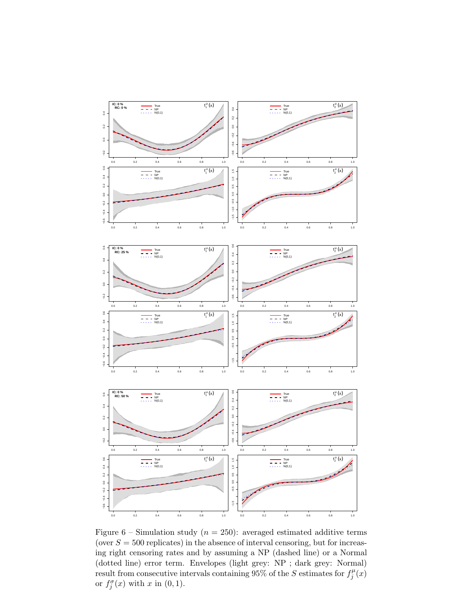<span id="page-35-0"></span>

Figure 6 – Simulation study ( $n = 250$ ): averaged estimated additive terms (over  $S = 500$  replicates) in the absence of interval censoring, but for increasing right censoring rates and by assuming a NP (dashed line) or a Normal (dotted line) error term. Envelopes (light grey: NP ; dark grey: Normal) result from consecutive intervals containing 95% of the S estimates for  $f_i^{\mu}$  $j^{\mu}(x)$ or  $f_j^{\sigma}(x)$  with x in  $(0, 1)$ .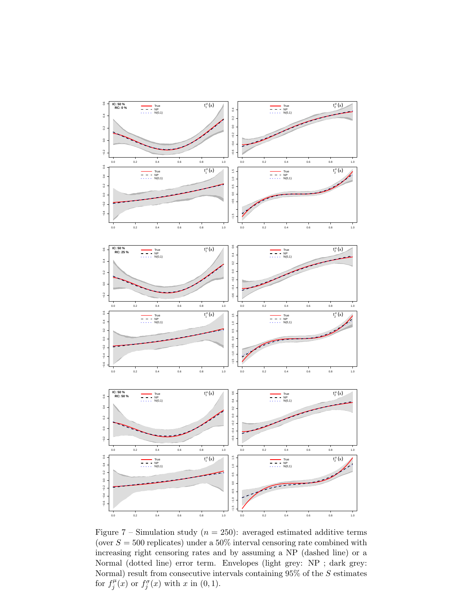<span id="page-36-0"></span>

Figure 7 – Simulation study ( $n = 250$ ): averaged estimated additive terms (over  $S = 500$  replicates) under a 50% interval censoring rate combined with increasing right censoring rates and by assuming a NP (dashed line) or a Normal (dotted line) error term. Envelopes (light grey: NP ; dark grey: Normal) result from consecutive intervals containing 95% of the  $S$  estimates for  $f_i^{\mu}$  $f_j^{\mu}(x)$  or  $f_j^{\sigma}(x)$  with x in  $(0, 1)$ .